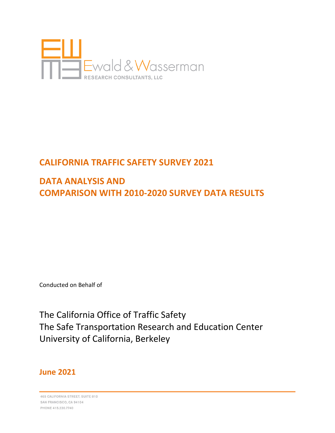

# **CALIFORNIA TRAFFIC SAFETY SURVEY 2021**

# **DATA ANALYSIS AND COMPARISON WITH 2010-2020 SURVEY DATA RESULTS**

Conducted on Behalf of

The California Office of Traffic Safety The Safe Transportation Research and Education Center University of California, Berkeley

# **June 2021**

465 CALIFORNIA STREET, SUITE 810 SAN FRANCISCO, CA 94104 PHONE 415,230,7740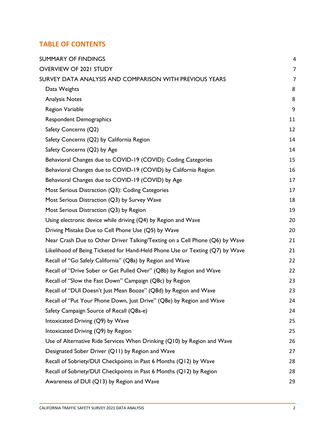### **TABLE OF CONTENTS**

| <b>SUMMARY OF FINDINGS</b>                                                   | 4              |
|------------------------------------------------------------------------------|----------------|
| <b>OVERVIEW OF 2021 STUDY</b>                                                | $\overline{7}$ |
| SURVEY DATA ANALYSIS AND COMPARISON WITH PREVIOUS YEARS                      | $\overline{7}$ |
| Data Weights                                                                 | 8              |
| <b>Analysis Notes</b>                                                        | 8              |
| Region Variable                                                              | 9              |
| <b>Respondent Demographics</b>                                               | 11             |
| Safety Concerns (Q2)                                                         | 12             |
| Safety Concerns (Q2) by California Region                                    | 14             |
| Safety Concerns (Q2) by Age                                                  | 14             |
| Behavioral Changes due to COVID-19 (COVID): Coding Categories                | 15             |
| Behavioral Changes due to COVID-19 (COVID) by California Region              | 16             |
| Behavioral Changes due to COVID-19 (COVID) by Age                            | 17             |
| Most Serious Distraction (Q3): Coding Categories                             | 17             |
| Most Serious Distraction (Q3) by Survey Wave                                 | 18             |
| Most Serious Distraction (Q3) by Region                                      | 19             |
| Using electronic device while driving (Q4) by Region and Wave                | 20             |
| Driving Mistake Due to Cell Phone Use (Q5) by Wave                           | 20             |
| Near Crash Due to Other Driver Talking/Texting on a Cell Phone (Q6) by Wave  | 21             |
| Likelihood of Being Ticketed for Hand-Held Phone Use or Texting (Q7) by Wave | 21             |
| Recall of "Go Safely California" (Q8a) by Region and Wave                    | 22             |
| Recall of "Drive Sober or Get Pulled Over" (Q8b) by Region and Wave          | 22             |
| Recall of "Slow the Fast Down" Campaign (Q8c) by Region                      | 23             |
| Recall of "DUI Doesn't Just Mean Booze" (Q8d) by Region and Wave             | 23             |
| Recall of "Put Your Phone Down, Just Drive" (Q8e) by Region and Wave         | 24             |
| Safety Campaign Source of Recall (Q8a-e)                                     | 24             |
| Intoxicated Driving (Q9) by Wave                                             | 25             |
| Intoxicated Driving (Q9) by Region                                           | 25             |
| Use of Alternative Ride Services When Drinking (Q10) by Region and Wave      | 26             |
| Designated Sober Driver (Q11) by Region and Wave                             | 27             |
| Recall of Sobriety/DUI Checkpoints in Past 6 Months (Q12) by Wave            | 28             |
| Recall of Sobriety/DUI Checkpoints in Past 6 Months (Q12) by Region          | 28             |
| Awareness of DUI (Q13) by Region and Wave                                    | 29             |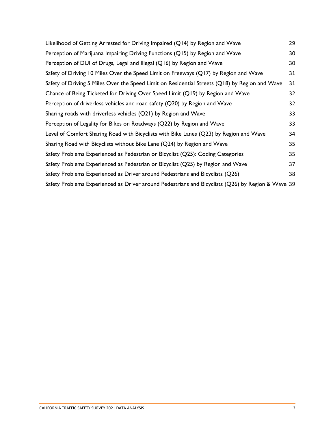| Likelihood of Getting Arrested for Driving Impaired (Q14) by Region and Wave                      | 29 |
|---------------------------------------------------------------------------------------------------|----|
| Perception of Marijuana Impairing Driving Functions (Q15) by Region and Wave                      | 30 |
| Perception of DUI of Drugs, Legal and Illegal (Q16) by Region and Wave                            | 30 |
| Safety of Driving 10 Miles Over the Speed Limit on Freeways (Q17) by Region and Wave              | 31 |
| Safety of Driving 5 Miles Over the Speed Limit on Residential Streets (Q18) by Region and Wave    | 31 |
| Chance of Being Ticketed for Driving Over Speed Limit (Q19) by Region and Wave                    | 32 |
| Perception of driverless vehicles and road safety (Q20) by Region and Wave                        | 32 |
| Sharing roads with driverless vehicles (Q21) by Region and Wave                                   | 33 |
| Perception of Legality for Bikes on Roadways (Q22) by Region and Wave                             | 33 |
| Level of Comfort Sharing Road with Bicyclists with Bike Lanes (Q23) by Region and Wave            | 34 |
| Sharing Road with Bicyclists without Bike Lane (Q24) by Region and Wave                           | 35 |
| Safety Problems Experienced as Pedestrian or Bicyclist (Q25): Coding Categories                   | 35 |
| Safety Problems Experienced as Pedestrian or Bicyclist (Q25) by Region and Wave                   | 37 |
| Safety Problems Experienced as Driver around Pedestrians and Bicyclists (Q26)                     | 38 |
| Safety Problems Experienced as Driver around Pedestrians and Bicyclists (Q26) by Region & Wave 39 |    |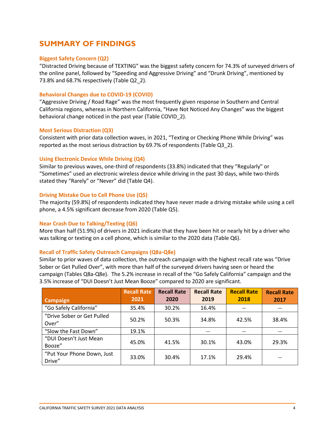### <span id="page-3-0"></span>**SUMMARY OF FINDINGS**

#### **Biggest Safety Concern (Q2)**

"Distracted Driving because of TEXTING" was the biggest safety concern for 74.3% of surveyed drivers of the online panel, followed by "Speeding and Aggressive Driving" and "Drunk Driving", mentioned by 73.8% and 68.7% respectively (Table Q2 2).

#### **Behavioral Changes due to COVID-19 (COVID)**

"Aggressive Driving / Road Rage" was the most frequently given response in Southern and Central California regions, whereas in Northern California, "Have Not Noticed Any Changes" was the biggest behavioral change noticed in the past year (Table COVID\_2).

#### **Most Serious Distraction (Q3)**

Consistent with prior data collection waves, in 2021, "Texting or Checking Phone While Driving" was reported as the most serious distraction by 69.7% of respondents (Table Q3\_2).

#### **Using Electronic Device While Driving (Q4)**

Similar to previous waves, one-third of respondents (33.8%) indicated that they "Regularly" or "Sometimes" used an electronic wireless device while driving in the past 30 days, while two-thirds stated they "Rarely" or "Never" did (Table Q4).

#### **Driving Mistake Due to Cell Phone Use (Q5)**

The majority (59.8%) of respondents indicated they have never made a driving mistake while using a cell phone, a 4.5% significant decrease from 2020 (Table Q5).

#### **Near Crash Due to Talking/Texting (Q6)**

More than half (51.9%) of drivers in 2021 indicate that they have been hit or nearly hit by a driver who was talking or texting on a cell phone, which is similar to the 2020 data (Table Q6).

#### **Recall of Traffic Safety Outreach Campaigns (Q8a-Q8e)**

Similar to prior waves of data collection, the outreach campaign with the highest recall rate was "Drive Sober or Get Pulled Over", with more than half of the surveyed drivers having seen or heard the campaign (Tables Q8a-Q8e). The 5.2% increase in recall of the "Go Safely California" campaign and the 3.5% increase of "DUI Doesn't Just Mean Booze" compared to 2020 are significant.

|                            | <b>Recall Rate</b> | <b>Recall Rate</b> | <b>Recall Rate</b> | <b>Recall Rate</b> | <b>Recall Rate</b> |
|----------------------------|--------------------|--------------------|--------------------|--------------------|--------------------|
| <b>Campaign</b>            | 2021               | 2020               | 2019               | 2018               | 2017               |
| "Go Safely California"     | 35.4%              | 30.2%              | 16.4%              | --                 | --                 |
| "Drive Sober or Get Pulled | 50.2%              | 50.3%              | 34.8%              | 42.5%              | 38.4%              |
| Over"                      |                    |                    |                    |                    |                    |
| "Slow the Fast Down"       | 19.1%              |                    | $-$                | --                 |                    |
| "DUI Doesn't Just Mean     | 45.0%              | 41.5%              | 30.1%              | 43.0%              | 29.3%              |
| Booze"                     |                    |                    |                    |                    |                    |
| "Put Your Phone Down, Just | 33.0%              | 30.4%              | 17.1%              | 29.4%              |                    |
| Drive"                     |                    |                    |                    |                    |                    |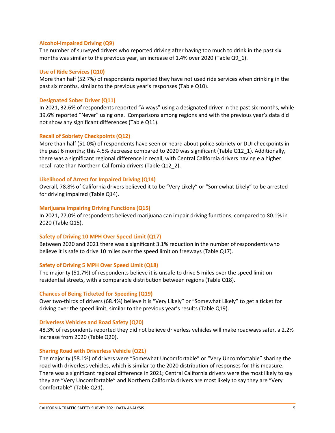#### **Alcohol-Impaired Driving (Q9)**

The number of surveyed drivers who reported driving after having too much to drink in the past six months was similar to the previous year, an increase of 1.4% over 2020 (Table Q9\_1).

#### **Use of Ride Services (Q10)**

More than half (52.7%) of respondents reported they have not used ride services when drinking in the past six months, similar to the previous year's responses (Table Q10).

#### **Designated Sober Driver (Q11)**

In 2021, 32.6% of respondents reported "Always" using a designated driver in the past six months, while 39.6% reported "Never" using one. Comparisons among regions and with the previous year's data did not show any significant differences (Table Q11).

#### **Recall of Sobriety Checkpoints (Q12)**

More than half (51.0%) of respondents have seen or heard about police sobriety or DUI checkpoints in the past 6 months; this 4.5% decrease compared to 2020 was significant (Table Q12\_1). Additionally, there was a significant regional difference in recall, with Central California drivers having e a higher recall rate than Northern California drivers (Table Q12\_2).

#### **Likelihood of Arrest for Impaired Driving (Q14)**

Overall, 78.8% of California drivers believed it to be "Very Likely" or "Somewhat Likely" to be arrested for driving impaired (Table Q14).

#### **Marijuana Impairing Driving Functions (Q15)**

In 2021, 77.0% of respondents believed marijuana can impair driving functions, compared to 80.1% in 2020 (Table Q15).

#### **Safety of Driving 10 MPH Over Speed Limit (Q17)**

Between 2020 and 2021 there was a significant 3.1% reduction in the number of respondents who believe it is safe to drive 10 miles over the speed limit on freeways (Table Q17).

#### **Safety of Driving 5 MPH Over Speed Limit (Q18)**

The majority (51.7%) of respondents believe it is unsafe to drive 5 miles over the speed limit on residential streets, with a comparable distribution between regions (Table Q18).

#### **Chances of Being Ticketed for Speeding (Q19)**

Over two-thirds of drivers (68.4%) believe it is "Very Likely" or "Somewhat Likely" to get a ticket for driving over the speed limit, similar to the previous year's results (Table Q19).

#### **Driverless Vehicles and Road Safety (Q20)**

48.3% of respondents reported they did not believe driverless vehicles will make roadways safer, a 2.2% increase from 2020 (Table Q20).

#### **Sharing Road with Driverless Vehicle (Q21)**

The majority (58.1%) of drivers were "Somewhat Uncomfortable" or "Very Uncomfortable" sharing the road with driverless vehicles, which is similar to the 2020 distribution of responses for this measure. There was a significant regional difference in 2021; Central California drivers were the most likely to say they are "Very Uncomfortable" and Northern California drivers are most likely to say they are "Very Comfortable" (Table Q21).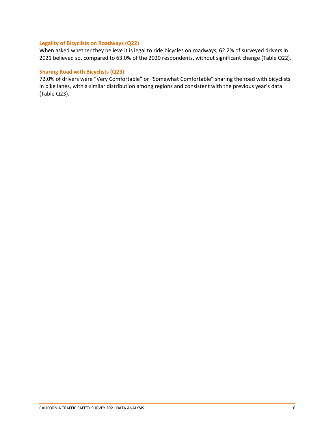#### **Legality of Bicyclists on Roadways (Q22)**

When asked whether they believe it is legal to ride bicycles on roadways, 62.2% of surveyed drivers in 2021 believed so, compared to 63.0% of the 2020 respondents, without significant change (Table Q22).

#### **Sharing Road with Bicyclists (Q23)**

72.0% of drivers were "Very Comfortable" or "Somewhat Comfortable" sharing the road with bicyclists in bike lanes, with a similar distribution among regions and consistent with the previous year's data (Table Q23).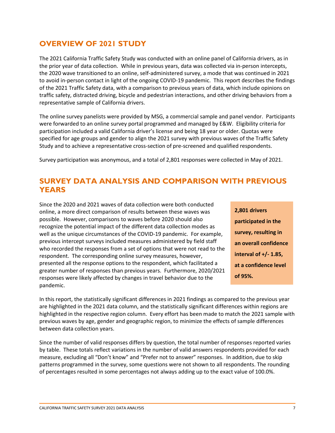### <span id="page-6-0"></span>**OVERVIEW OF 2021 STUDY**

The 2021 California Traffic Safety Study was conducted with an online panel of California drivers, as in the prior year of data collection. While in previous years, data was collected via in-person intercepts, the 2020 wave transitioned to an online, self-administered survey, a mode that was continued in 2021 to avoid in-person contact in light of the ongoing COVID-19 pandemic. This report describes the findings of the 2021 Traffic Safety data, with a comparison to previous years of data, which include opinions on traffic safety, distracted driving, bicycle and pedestrian interactions, and other driving behaviors from a representative sample of California drivers.

The online survey panelists were provided by MSG, a commercial sample and panel vendor. Participants were forwarded to an online survey portal programmed and managed by E&W. Eligibility criteria for participation included a valid California driver's license and being 18 year or older. Quotas were specified for age groups and gender to align the 2021 survey with previous waves of the Traffic Safety Study and to achieve a representative cross-section of pre-screened and qualified respondents.

<span id="page-6-1"></span>Survey participation was anonymous, and a total of 2,801 responses were collected in May of 2021.

### **SURVEY DATA ANALYSIS AND COMPARISON WITH PREVIOUS YEARS**

Since the 2020 and 2021 waves of data collection were both conducted online, a more direct comparison of results between these waves was possible. However, comparisons to waves before 2020 should also recognize the potential impact of the different data collection modes as well as the unique circumstances of the COVID-19 pandemic. For example, previous intercept surveys included measures administered by field staff who recorded the responses from a set of options that were not read to the respondent. The corresponding online survey measures, however, presented all the response options to the respondent, which facilitated a greater number of responses than previous years. Furthermore, 2020/2021 responses were likely affected by changes in travel behavior due to the pandemic.

| 2,801 drivers            |
|--------------------------|
| participated in the      |
| survey, resulting in     |
| an overall confidence    |
| interval of $+/- 1.85$ , |
| at a confidence level    |
| of 95%.                  |

In this report, the statistically significant differences in 2021 findings as compared to the previous year are highlighted in the 2021 data column, and the statistically significant differences within regions are highlighted in the respective region column. Every effort has been made to match the 2021 sample with previous waves by age, gender and geographic region, to minimize the effects of sample differences between data collection years.

Since the number of valid responses differs by question, the total number of responses reported varies by table. These totals reflect variations in the number of valid answers respondents provided for each measure, excluding all "Don't know" and "Prefer not to answer" responses. In addition, due to skip patterns programmed in the survey, some questions were not shown to all respondents. The rounding of percentages resulted in some percentages not always adding up to the exact value of 100.0%.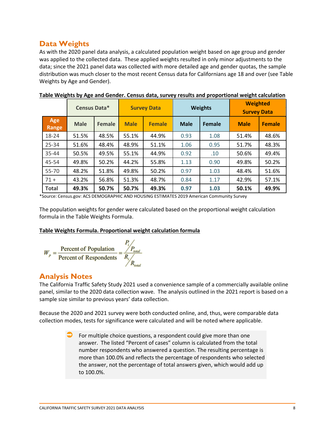### <span id="page-7-0"></span>**Data Weights**

As with the 2020 panel data analysis, a calculated population weight based on age group and gender was applied to the collected data. These applied weights resulted in only minor adjustments to the data; since the 2021 panel data was collected with more detailed age and gender quotas, the sample distribution was much closer to the most recent Census data for Californians age 18 and over (see Table Weights by Age and Gender).

|              | Census Data* |        |             | <b>Survey Data</b> |             | <b>Weights</b> |             | <b>Weighted</b><br><b>Survey Data</b> |
|--------------|--------------|--------|-------------|--------------------|-------------|----------------|-------------|---------------------------------------|
| Age<br>Range | <b>Male</b>  | Female | <b>Male</b> | <b>Female</b>      | <b>Male</b> | Female         | <b>Male</b> | <b>Female</b>                         |
| 18-24        | 51.5%        | 48.5%  | 55.1%       | 44.9%              | 0.93        | 1.08           | 51.4%       | 48.6%                                 |
| 25-34        | 51.6%        | 48.4%  | 48.9%       | 51.1%              | 1.06        | 0.95           | 51.7%       | 48.3%                                 |
| $35 - 44$    | 50.5%        | 49.5%  | 55.1%       | 44.9%              | 0.92        | .10            | 50.6%       | 49.4%                                 |
| 45-54        | 49.8%        | 50.2%  | 44.2%       | 55.8%              | 1.13        | 0.90           | 49.8%       | 50.2%                                 |
| 55-70        | 48.2%        | 51.8%  | 49.8%       | 50.2%              | 0.97        | 1.03           | 48.4%       | 51.6%                                 |
| $71 +$       | 43.2%        | 56.8%  | 51.3%       | 48.7%              | 0.84        | 1.17           | 42.9%       | 57.1%                                 |
| <b>Total</b> | 49.3%        | 50.7%  | 50.7%       | 49.3%              | 0.97        | 1.03           | 50.1%       | 49.9%                                 |

|  | Table Weights by Age and Gender. Census data, survey results and proportional weight calculation |  |  |  |
|--|--------------------------------------------------------------------------------------------------|--|--|--|
|--|--------------------------------------------------------------------------------------------------|--|--|--|

\*Source: Census.gov: ACS DEMOGRAPHIC AND HOUSING ESTIMATES 2019 American Community Survey

The population weights for gender were calculated based on the proportional weight calculation formula in the Table Weights Formula.

#### **Table Weights Formula. Proportional weight calculation formula**



### <span id="page-7-1"></span>**Analysis Notes**

The California Traffic Safety Study 2021 used a convenience sample of a commercially available online panel, similar to the 2020 data collection wave. The analysis outlined in the 2021 report is based on a sample size similar to previous years' data collection.

Because the 2020 and 2021 survey were both conducted online, and, thus, were comparable data collection modes, tests for significance were calculated and will be noted where applicable.

> For multiple choice questions, a respondent could give more than one answer. The listed "Percent of cases" column is calculated from the total number respondents who answered a question. The resulting percentage is more than 100.0% and reflects the percentage of respondents who selected the answer, not the percentage of total answers given, which would add up to 100.0%.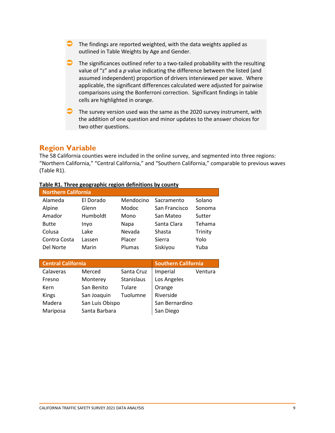- The findings are reported weighted, with the data weights applied as outlined in Table Weights by Age and Gender.
- $\Box$  The significances outlined refer to a two-tailed probability with the resulting value of "z" and a *p* value indicating the difference between the listed (and assumed independent) proportion of drivers interviewed per wave. Where applicable, the significant differences calculated were adjusted for pairwise comparisons using the Bonferroni correction. Significant findings in table cells are highlighted in orange.
- $\Box$  The survey version used was the same as the 2020 survey instrument, with the addition of one question and minor updates to the answer choices for two other questions.

### <span id="page-8-0"></span>**Region Variable**

The 58 California counties were included in the online survey, and segmented into three regions: "Northern California," "Central California," and "Southern California," comparable to previous waves (Table R1).

| <b>Northern California</b> |           |           |               |         |  |  |  |
|----------------------------|-----------|-----------|---------------|---------|--|--|--|
| Alameda                    | El Dorado | Mendocino | Sacramento    | Solano  |  |  |  |
| Alpine                     | Glenn     | Modoc     | San Francisco | Sonoma  |  |  |  |
| Amador                     | Humboldt  | Mono      | San Mateo     | Sutter  |  |  |  |
| <b>Butte</b>               | Inyo      | Napa      | Santa Clara   | Tehama  |  |  |  |
| Colusa                     | Lake      | Nevada    | Shasta        | Trinity |  |  |  |
| Contra Costa               | Lassen    | Placer    | Sierra        | Yolo    |  |  |  |
| Del Norte                  | Marin     | Plumas    | Siskiyou      | Yuba    |  |  |  |

#### **Table R1. Three geographic region definitions by county**

| <b>Central California</b> |                 | <b>Southern California</b> |                |         |
|---------------------------|-----------------|----------------------------|----------------|---------|
| Calaveras                 | Merced          | Santa Cruz                 | Imperial       | Ventura |
| Fresno                    | Monterey        | Stanislaus                 | Los Angeles    |         |
| Kern                      | San Benito      | Tulare                     | Orange         |         |
| <b>Kings</b>              | San Joaquin     | Tuolumne                   | Riverside      |         |
| Madera                    | San Luis Obispo |                            | San Bernardino |         |
| Mariposa                  | Santa Barbara   |                            | San Diego      |         |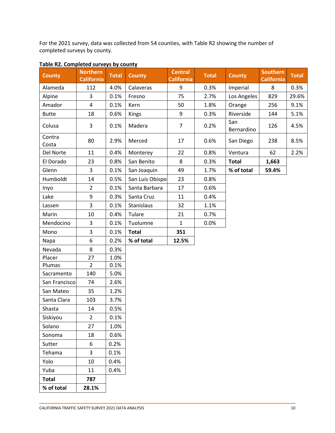For the 2021 survey, data was collected from 54 counties, with Table R2 showing the number of completed surveys by county.

| <b>County</b>   | <b>Northern</b><br><b>California</b> | <b>Total</b> | <b>County</b>   | <b>Central</b><br><b>California</b> | <b>Total</b> | <b>County</b>     | <b>Southern</b><br><b>California</b> | <b>Total</b> |
|-----------------|--------------------------------------|--------------|-----------------|-------------------------------------|--------------|-------------------|--------------------------------------|--------------|
| Alameda         | 112                                  | 4.0%         | Calaveras       | $\boldsymbol{9}$                    | 0.3%         | Imperial          | 8                                    | 0.3%         |
| Alpine          | 3                                    | 0.1%         | Fresno          | 75                                  | 2.7%         | Los Angeles       | 829                                  | 29.6%        |
| Amador          | $\overline{4}$                       | 0.1%         | Kern            | 50                                  | 1.8%         | Orange            | 256                                  | 9.1%         |
| <b>Butte</b>    | 18                                   | 0.6%         | Kings           | 9                                   | 0.3%         | Riverside         | 144                                  | 5.1%         |
| Colusa          | 3                                    | 0.1%         | Madera          | $\overline{7}$                      | 0.2%         | San<br>Bernardino | 126                                  | 4.5%         |
| Contra<br>Costa | 80                                   | 2.9%         | Merced          | 17                                  | 0.6%         | San Diego         | 238                                  | 8.5%         |
| Del Norte       | 11                                   | 0.4%         | Monterey        | 22                                  | 0.8%         | Ventura           | 62                                   | 2.2%         |
| El Dorado       | 23                                   | 0.8%         | San Benito      | 8                                   | 0.3%         | <b>Total</b>      | 1,663                                |              |
| Glenn           | $\overline{3}$                       | 0.1%         | San Joaquin     | 49                                  | 1.7%         | % of total        | 59.4%                                |              |
| Humboldt        | 14                                   | 0.5%         | San Luis Obispo | 23                                  | 0.8%         |                   |                                      |              |
| Inyo            | $\overline{2}$                       | 0.1%         | Santa Barbara   | 17                                  | 0.6%         |                   |                                      |              |
| Lake            | 9                                    | 0.3%         | Santa Cruz      | 11                                  | 0.4%         |                   |                                      |              |
| Lassen          | 3                                    | 0.1%         | Stanislaus      | 32                                  | 1.1%         |                   |                                      |              |
| Marin           | 10                                   | 0.4%         | Tulare          | 21                                  | 0.7%         |                   |                                      |              |
| Mendocino       | 3                                    | 0.1%         | Tuolumne        | $\mathbf{1}$                        | 0.0%         |                   |                                      |              |
| Mono            | 3                                    | 0.1%         | <b>Total</b>    | 351                                 |              |                   |                                      |              |
| Napa            | 6                                    | 0.2%         | % of total      | 12.5%                               |              |                   |                                      |              |
| Nevada          | 8                                    | 0.3%         |                 |                                     |              |                   |                                      |              |
| Placer          | 27                                   | 1.0%         |                 |                                     |              |                   |                                      |              |
| Plumas          | $\overline{2}$                       | 0.1%         |                 |                                     |              |                   |                                      |              |
| Sacramento      | 140                                  | 5.0%         |                 |                                     |              |                   |                                      |              |
| San Francisco   | 74                                   | 2.6%         |                 |                                     |              |                   |                                      |              |
| San Mateo       | 35                                   | 1.2%         |                 |                                     |              |                   |                                      |              |
| Santa Clara     | 103                                  | 3.7%         |                 |                                     |              |                   |                                      |              |
| Shasta          | 14                                   | 0.5%         |                 |                                     |              |                   |                                      |              |
| Siskiyou        | $\overline{2}$                       | 0.1%         |                 |                                     |              |                   |                                      |              |
| Solano          | 27                                   | 1.0%         |                 |                                     |              |                   |                                      |              |
| Sonoma          | 18                                   | 0.6%         |                 |                                     |              |                   |                                      |              |
| Sutter          | 6                                    | 0.2%         |                 |                                     |              |                   |                                      |              |
| Tehama          | 3                                    | 0.1%         |                 |                                     |              |                   |                                      |              |
| Yolo            | 10                                   | 0.4%         |                 |                                     |              |                   |                                      |              |
| Yuba            | 11                                   | 0.4%         |                 |                                     |              |                   |                                      |              |
| <b>Total</b>    | 787                                  |              |                 |                                     |              |                   |                                      |              |
| % of total      | 28.1%                                |              |                 |                                     |              |                   |                                      |              |

### **Table R2. Completed surveys by county**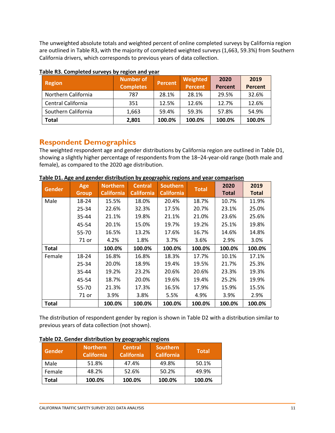The unweighted absolute totals and weighted percent of online completed surveys by California region are outlined in Table R3, with the majority of completed weighted surveys (1,663, 59.3%) from Southern California drivers, which corresponds to previous years of data collection.

| <b>Region</b>       | <b>Number of</b><br><b>Completes</b> | Percent | Weighted<br><b>Percent</b> | 2020<br>Percent | 2019<br><b>Percent</b> |
|---------------------|--------------------------------------|---------|----------------------------|-----------------|------------------------|
| Northern California | 787                                  | 28.1%   | 28.1%                      | 29.5%           | 32.6%                  |
| Central California  | 351                                  | 12.5%   | 12.6%                      | 12.7%           | 12.6%                  |
| Southern California | 1,663                                | 59.4%   | 59.3%                      | 57.8%           | 54.9%                  |
| <b>Total</b>        | 2,801                                | 100.0%  | 100.0%                     | 100.0%          | 100.0%                 |

### **Table R3. Completed surveys by region and year**

### <span id="page-10-0"></span>**Respondent Demographics**

The weighted respondent age and gender distributions by California region are outlined in Table D1, showing a slightly higher percentage of respondents from the 18–24-year-old range (both male and female), as compared to the 2020 age distribution.

| <b>Gender</b> | Age          | <b>Northern</b>   | <b>Central</b>    | <b>Southern</b>   | <b>Total</b> | 2020         | 2019         |
|---------------|--------------|-------------------|-------------------|-------------------|--------------|--------------|--------------|
|               | <b>Group</b> | <b>California</b> | <b>California</b> | <b>California</b> |              | <b>Total</b> | <b>Total</b> |
| Male          | 18-24        | 15.5%             | 18.0%             | 20.4%             | 18.7%        | 10.7%        | 11.9%        |
|               | 25-34        | 22.6%             | 32.3%             | 17.5%             | 20.7%        | 23.1%        | 25.0%        |
|               | 35-44        | 21.1%             | 19.8%             | 21.1%             | 21.0%        | 23.6%        | 25.6%        |
|               | 45-54        | 20.1%             | 15.0%             | 19.7%             | 19.2%        | 25.1%        | 19.8%        |
|               | 55-70        | 16.5%             | 13.2%             | 17.6%             | 16.7%        | 14.6%        | 14.8%        |
|               | 71 or        | 4.2%              | 1.8%              | 3.7%              | 3.6%         | 2.9%         | 3.0%         |
| <b>Total</b>  |              | 100.0%            | 100.0%            | 100.0%            | 100.0%       | 100.0%       | 100.0%       |
| Female        | 18-24        | 16.8%             | 16.8%             | 18.3%             | 17.7%        | 10.1%        | 17.1%        |
|               | 25-34        | 20.0%             | 18.9%             | 19.4%             | 19.5%        | 21.7%        | 25.3%        |
|               | 35-44        | 19.2%             | 23.2%             | 20.6%             | 20.6%        | 23.3%        | 19.3%        |
|               | 45-54        | 18.7%             | 20.0%             | 19.6%             | 19.4%        | 25.2%        | 19.9%        |
|               | 55-70        | 21.3%             | 17.3%             | 16.5%             | 17.9%        | 15.9%        | 15.5%        |
|               | 71 or        | 3.9%              | 3.8%              | 5.5%              | 4.9%         | 3.9%         | 2.9%         |
| <b>Total</b>  |              | 100.0%            | 100.0%            | 100.0%            | 100.0%       | 100.0%       | 100.0%       |

|  |  |  | Table D1. Age and gender distribution by geographic regions and year comparison |  |
|--|--|--|---------------------------------------------------------------------------------|--|
|--|--|--|---------------------------------------------------------------------------------|--|

The distribution of respondent gender by region is shown in Table D2 with a distribution similar to previous years of data collection (not shown).

| <b>Gender</b> | Northern<br><b>California</b> | <b>Central</b><br><b>California</b> | <b>Southern</b><br><b>California</b> | <b>Total</b> |
|---------------|-------------------------------|-------------------------------------|--------------------------------------|--------------|
| Male          | 51.8%                         | 47.4%                               | 49.8%                                | 50.1%        |
| Female        | 48.2%                         | 52.6%                               | 50.2%                                | 49.9%        |
| <b>Total</b>  | 100.0%                        | 100.0%                              | 100.0%                               | 100.0%       |

#### **Table D2. Gender distribution by geographic regions**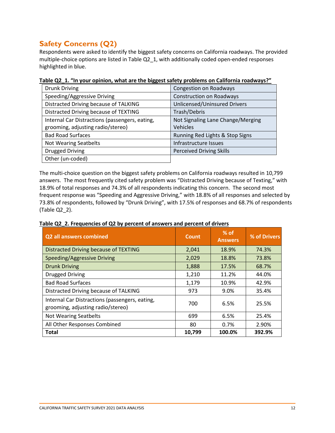# <span id="page-11-0"></span>**Safety Concerns (Q2)**

Respondents were asked to identify the biggest safety concerns on California roadways. The provided multiple-choice options are listed in Table Q2\_1, with additionally coded open-ended responses highlighted in blue.

| <b>Drunk Driving</b>                           | <b>Congestion on Roadways</b>     |
|------------------------------------------------|-----------------------------------|
| Speeding/Aggressive Driving                    | <b>Construction on Roadways</b>   |
| Distracted Driving because of TALKING          | Unlicensed/Uninsured Drivers      |
| Distracted Driving because of TEXTING          | Trash/Debris                      |
| Internal Car Distractions (passengers, eating, | Not Signaling Lane Change/Merging |
| grooming, adjusting radio/stereo)              | <b>Vehicles</b>                   |
| <b>Bad Road Surfaces</b>                       | Running Red Lights & Stop Signs   |
| <b>Not Wearing Seatbelts</b>                   | Infrastructure Issues             |
| <b>Drugged Driving</b>                         | <b>Perceived Driving Skills</b>   |
| Other (un-coded)                               |                                   |

**Table Q2\_1. "In your opinion, what are the biggest safety problems on California roadways?"**

The multi-choice question on the biggest safety problems on California roadways resulted in 10,799 answers. The most frequently cited safety problem was "Distracted Driving because of Texting," with 18.9% of total responses and 74.3% of all respondents indicating this concern. The second most frequent response was "Speeding and Aggressive Driving," with 18.8% of all responses and selected by 73.8% of respondents, followed by "Drunk Driving", with 17.5% of responses and 68.7% of respondents (Table Q2\_2).

| Table Q2 2. Frequencies of Q2 by percent of answers and percent of drivers |
|----------------------------------------------------------------------------|
|----------------------------------------------------------------------------|

| <b>Q2 all answers combined</b>                                                      | <b>Count</b> | $%$ of<br><b>Answers</b> | % of Drivers |
|-------------------------------------------------------------------------------------|--------------|--------------------------|--------------|
| Distracted Driving because of TEXTING                                               | 2,041        | 18.9%                    | 74.3%        |
| Speeding/Aggressive Driving                                                         | 2,029        | 18.8%                    | 73.8%        |
| <b>Drunk Driving</b>                                                                | 1,888        | 17.5%                    | 68.7%        |
| <b>Drugged Driving</b>                                                              | 1,210        | 11.2%                    | 44.0%        |
| <b>Bad Road Surfaces</b>                                                            | 1,179        | 10.9%                    | 42.9%        |
| Distracted Driving because of TALKING                                               | 973          | 9.0%                     | 35.4%        |
| Internal Car Distractions (passengers, eating,<br>grooming, adjusting radio/stereo) | 700          | 6.5%                     | 25.5%        |
| <b>Not Wearing Seatbelts</b>                                                        | 699          | 6.5%                     | 25.4%        |
| All Other Responses Combined                                                        | 80           | 0.7%                     | 2.90%        |
| <b>Total</b>                                                                        | 10,799       | 100.0%                   | 392.9%       |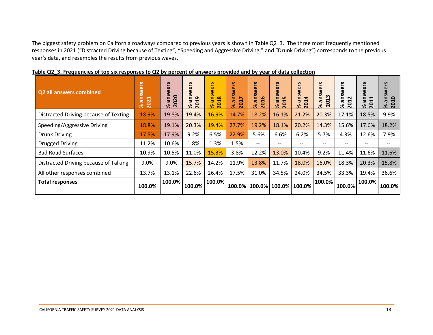The biggest safety problem on California roadways compared to previous years is shown in Table Q2\_3. The three most frequently mentioned responses in 2021 ("Distracted Driving because of Texting", "Speeding and Aggressive Driving," and "Drunk Driving") corresponds to the previous year's data, and resembles the results from previous waves.

| <b>Q2 all answers combined</b>        | answers<br>2021<br>$\aleph$ | 51<br>ē<br>≷<br>ans<br>020<br>$\aleph$<br>$\sim$ | S<br>g<br>ெ<br>$\mathbf{C}$<br>$\overline{\sigma}$<br>201<br>ৼ | 5,<br>§<br>€<br>ū.<br>ä<br>$\infty$<br>$\blacksquare$<br>$\overline{20}$<br>$\aleph$ | answers<br>↖<br>201<br>৯ৎ | wers<br><b>in</b><br>% ans<br>2016 | answers<br>2015<br>$\aleph$ | answers<br>$\blacktriangleleft$<br>201<br>ৼ | wers<br>ans<br>m<br>H<br>0<br>ৼ<br>$\sim$ | n<br>g<br>$\sim$<br>c<br>ا %<br>201<br>201 | n<br>$\blacksquare$<br>$\blacktriangleleft$<br>ര<br>$\overline{\begin{array}{c} 0.8 \\ 8.0 \end{array}}$ | answers<br>$\overline{a}$<br>$\overline{20}$<br>ৼ |
|---------------------------------------|-----------------------------|--------------------------------------------------|----------------------------------------------------------------|--------------------------------------------------------------------------------------|---------------------------|------------------------------------|-----------------------------|---------------------------------------------|-------------------------------------------|--------------------------------------------|----------------------------------------------------------------------------------------------------------|---------------------------------------------------|
| Distracted Driving because of Texting | 18.9%                       | 19.8%                                            | 19.4%                                                          | 16.9%                                                                                | 14.7%                     | 18.2%                              | 16.1%                       | 21.2%                                       | 20.3%                                     | 17.1%                                      | 18.5%                                                                                                    | 9.9%                                              |
| Speeding/Aggressive Driving           | 18.8%                       | 19.1%                                            | 20.3%                                                          | 19.4%                                                                                | 27.7%                     | 19.2%                              | 18.1%                       | 20.2%                                       | 14.3%                                     | 15.6%                                      | 17.6%                                                                                                    | 18.2%                                             |
| <b>Drunk Driving</b>                  | 17.5%                       | 17.9%                                            | 9.2%                                                           | 6.5%                                                                                 | 22.9%                     | 5.6%                               | 6.6%                        | 6.2%                                        | 5.7%                                      | 4.3%                                       | 12.6%                                                                                                    | 7.9%                                              |
| <b>Drugged Driving</b>                | 11.2%                       | 10.6%                                            | 1.8%                                                           | 1.3%                                                                                 | 1.5%                      | $\qquad \qquad -$                  | --                          | $\qquad \qquad -$                           | --                                        | $- -$                                      | $- -$                                                                                                    | $\hspace{0.05cm}$ – $\hspace{0.05cm}$             |
| <b>Bad Road Surfaces</b>              | 10.9%                       | 10.5%                                            | 11.0%                                                          | 15.3%                                                                                | 3.8%                      | 12.2%                              | 13.0%                       | 10.4%                                       | 9.2%                                      | 11.4%                                      | 11.6%                                                                                                    | 11.6%                                             |
| Distracted Driving because of Talking | 9.0%                        | 9.0%                                             | 15.7%                                                          | 14.2%                                                                                | 11.9%                     | 13.8%                              | 11.7%                       | 18.0%                                       | 16.0%                                     | 18.3%                                      | 20.3%                                                                                                    | 15.8%                                             |
| All other responses combined          | 13.7%                       | 13.1%                                            | 22.6%                                                          | 26.4%                                                                                | 17.5%                     | 31.0%                              | 34.5%                       | 24.0%                                       | 34.5%                                     | 33.3%                                      | 19.4%                                                                                                    | 36.6%                                             |
| <b>Total responses</b>                | 100.0%                      | 100.0%                                           | 100.0%                                                         | 100.0%                                                                               |                           | 100.0% 100.0% 100.0% 100.0%        |                             |                                             | 100.0%                                    | 100.0%                                     | 100.0%                                                                                                   | 100.0%                                            |

**Table Q2\_3. Frequencies of top six responses to Q2 by percent of answers provided and by year of data collection**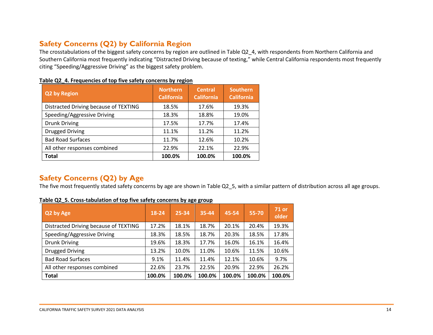### **Safety Concerns (Q2) by California Region**

The crosstabulations of the biggest safety concerns by region are outlined in Table Q2\_4, with respondents from Northern California and Southern California most frequently indicating "Distracted Driving because of texting," while Central California respondents most frequently citing "Speeding/Aggressive Driving" as the biggest safety problem.

| Q2 by Region                          | <b>Northern</b><br><b>California</b> | <b>Central</b><br><b>California</b> | <b>Southern</b><br><b>California</b> |
|---------------------------------------|--------------------------------------|-------------------------------------|--------------------------------------|
| Distracted Driving because of TEXTING | 18.5%                                | 17.6%                               | 19.3%                                |
| Speeding/Aggressive Driving           | 18.3%                                | 18.8%                               | 19.0%                                |
| <b>Drunk Driving</b>                  | 17.5%                                | 17.7%                               | 17.4%                                |
| <b>Drugged Driving</b>                | 11.1%                                | 11.2%                               | 11.2%                                |
| <b>Bad Road Surfaces</b>              | 11.7%                                | 12.6%                               | 10.2%                                |
| All other responses combined          | 22.9%                                | 22.1%                               | 22.9%                                |
| <b>Total</b>                          | 100.0%                               | 100.0%                              | 100.0%                               |

**Table Q2\_4. Frequencies of top five safety concerns by region**

# <span id="page-13-0"></span>**Safety Concerns (Q2) by Age**

The five most frequently stated safety concerns by age are shown in Table Q2\_5, with a similar pattern of distribution across all age groups.

<span id="page-13-1"></span>

| Q2 by Age                             | 18-24  | 25-34  | 35-44  | 45-54  | 55-70  | <b>71 or</b><br>older |
|---------------------------------------|--------|--------|--------|--------|--------|-----------------------|
| Distracted Driving because of TEXTING | 17.2%  | 18.1%  | 18.7%  | 20.1%  | 20.4%  | 19.3%                 |
| Speeding/Aggressive Driving           | 18.3%  | 18.5%  | 18.7%  | 20.3%  | 18.5%  | 17.8%                 |
| <b>Drunk Driving</b>                  | 19.6%  | 18.3%  | 17.7%  | 16.0%  | 16.1%  | 16.4%                 |
| <b>Drugged Driving</b>                | 13.2%  | 10.0%  | 11.0%  | 10.6%  | 11.5%  | 10.6%                 |
| <b>Bad Road Surfaces</b>              | 9.1%   | 11.4%  | 11.4%  | 12.1%  | 10.6%  | 9.7%                  |
| All other responses combined          | 22.6%  | 23.7%  | 22.5%  | 20.9%  | 22.9%  | 26.2%                 |
| <b>Total</b>                          | 100.0% | 100.0% | 100.0% | 100.0% | 100.0% | 100.0%                |

**Table Q2\_5. Cross-tabulation of top five safety concerns by age group**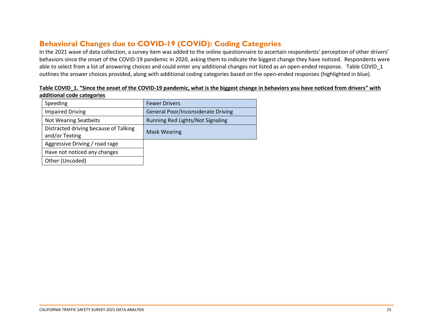# **Behavioral Changes due to COVID-19 (COVID): Coding Categories**

In the 2021 wave of data collection, a survey item was added to the online questionnaire to ascertain respondents' perception of other drivers' behaviors since the onset of the COVID-19 pandemic in 2020, asking them to indicate the biggest change they have noticed. Respondents were able to select from a list of answering choices and could enter any additional changes not listed as an open-ended response. Table COVID 1 outlines the answer choices provided, along with additional coding categories based on the open-ended responses (highlighted in blue).

<span id="page-14-0"></span>

| <b>Fewer Drivers</b>                      |
|-------------------------------------------|
| <b>General Poor/Inconsiderate Driving</b> |
| Running Red Lights/Not Signaling          |
| <b>Mask Wearing</b>                       |
|                                           |
|                                           |
|                                           |
|                                           |

| Table COVID 1. "Since the onset of the COVID-19 pandemic, what is the biggest change in behaviors you have noticed from drivers" with |  |
|---------------------------------------------------------------------------------------------------------------------------------------|--|
| additional code categories                                                                                                            |  |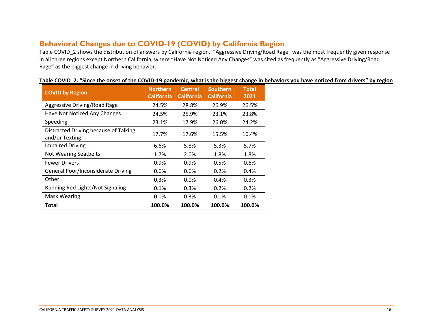# **Behavioral Changes due to COVID-19 (COVID) by California Region**

Table COVID\_2 shows the distribution of answers by California region. "Aggressive Driving/Road Rage" was the most frequently given response in all three regions except Northern California, where "Have Not Noticed Any Changes" was cited as frequently as "Aggressive Driving/Road Rage" as the biggest change in driving behavior.

<span id="page-15-0"></span>

| <b>COVID by Region</b>                                  | <b>Northern</b><br><b>California</b> | <b>Central</b><br><b>California</b> | <b>Southern</b><br><b>California</b> | <b>Total</b><br>2021 |
|---------------------------------------------------------|--------------------------------------|-------------------------------------|--------------------------------------|----------------------|
| Aggressive Driving/Road Rage                            | 24.5%                                | 28.8%                               | 26.9%                                | 26.5%                |
| Have Not Noticed Any Changes                            | 24.5%                                | 25.9%                               | 23.1%                                | 23.8%                |
| Speeding                                                | 23.1%                                | 17.9%                               | 26.0%                                | 24.2%                |
| Distracted Driving because of Talking<br>and/or Texting | 17.7%                                | 17.6%                               | 15.5%                                | 16.4%                |
| <b>Impaired Driving</b>                                 | 6.6%                                 | 5.8%                                | 5.3%                                 | 5.7%                 |
| <b>Not Wearing Seatbelts</b>                            | 1.7%                                 | 2.0%                                | 1.8%                                 | 1.8%                 |
| <b>Fewer Drivers</b>                                    | 0.9%                                 | 0.9%                                | 0.5%                                 | 0.6%                 |
| General Poor/Inconsiderate Driving                      | 0.6%                                 | 0.6%                                | 0.2%                                 | 0.4%                 |
| Other                                                   | 0.3%                                 | 0.0%                                | 0.4%                                 | 0.3%                 |
| Running Red Lights/Not Signaling                        | 0.1%                                 | 0.3%                                | 0.2%                                 | 0.2%                 |
| <b>Mask Wearing</b>                                     | $0.0\%$                              | 0.3%                                | 0.1%                                 | 0.1%                 |
| Total                                                   | 100.0%                               | 100.0%                              | 100.0%                               | 100.0%               |

| Table COVID_2. "Since the onset of the COVID-19 pandemic, what is the biggest change in behaviors you have noticed from drivers" by region |
|--------------------------------------------------------------------------------------------------------------------------------------------|
|--------------------------------------------------------------------------------------------------------------------------------------------|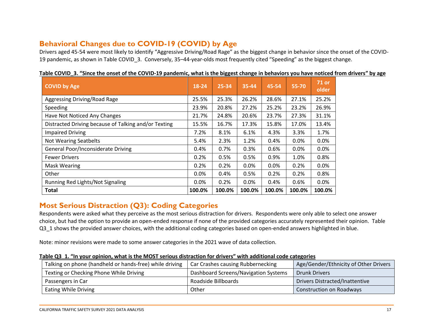# **Behavioral Changes due to COVID-19 (COVID) by Age**

Drivers aged 45-54 were most likely to identify "Aggressive Driving/Road Rage" as the biggest change in behavior since the onset of the COVID-19 pandemic, as shown in Table COVID\_3. Conversely, 35–44-year-olds most frequently cited "Speeding" as the biggest change.

<span id="page-16-0"></span>

| <b>COVID by Age</b>                                  | 18-24  | 25-34  | 35-44   | 45-54  | 55-70  | <b>71 or</b><br>older |
|------------------------------------------------------|--------|--------|---------|--------|--------|-----------------------|
| Aggressing Driving/Road Rage                         | 25.5%  | 25.3%  | 26.2%   | 28.6%  | 27.1%  | 25.2%                 |
| Speeding                                             | 23.9%  | 20.8%  | 27.2%   | 25.2%  | 23.2%  | 26.9%                 |
| Have Not Noticed Any Changes                         | 21.7%  | 24.8%  | 20.6%   | 23.7%  | 27.3%  | 31.1%                 |
| Distracted Driving because of Talking and/or Texting | 15.5%  | 16.7%  | 17.3%   | 15.8%  | 17.0%  | 13.4%                 |
| <b>Impaired Driving</b>                              | 7.2%   | 8.1%   | 6.1%    | 4.3%   | 3.3%   | 1.7%                  |
| <b>Not Wearing Seatbelts</b>                         | 5.4%   | 2.3%   | 1.2%    | 0.4%   | 0.0%   | 0.0%                  |
| <b>General Poor/Inconsiderate Driving</b>            | 0.4%   | 0.7%   | 0.3%    | 0.6%   | 0.0%   | 0.0%                  |
| <b>Fewer Drivers</b>                                 | 0.2%   | 0.5%   | 0.5%    | 0.9%   | 1.0%   | 0.8%                  |
| <b>Mask Wearing</b>                                  | 0.2%   | 0.2%   | 0.0%    | 0.0%   | 0.2%   | 0.0%                  |
| Other                                                | 0.0%   | 0.4%   | 0.5%    | 0.2%   | 0.2%   | 0.8%                  |
| Running Red Lights/Not Signaling                     | 0.0%   | 0.2%   | $0.0\%$ | 0.4%   | 0.6%   | 0.0%                  |
| <b>Total</b>                                         | 100.0% | 100.0% | 100.0%  | 100.0% | 100.0% | 100.0%                |

**Table COVID\_3. "Since the onset of the COVID-19 pandemic, what is the biggest change in behaviors you have noticed from drivers" by age**

# **Most Serious Distraction (Q3): Coding Categories**

Respondents were asked what they perceive as the most serious distraction for drivers. Respondents were only able to select one answer choice, but had the option to provide an open-ended response if none of the provided categories accurately represented their opinion. Table Q3\_1 shows the provided answer choices, with the additional coding categories based on open-ended answers highlighted in blue.

Note: minor revisions were made to some answer categories in the 2021 wave of data collection.

| Table Q3 1. "In your opinion, what is the MOST serious distraction for drivers" with additional code categories |
|-----------------------------------------------------------------------------------------------------------------|
|-----------------------------------------------------------------------------------------------------------------|

<span id="page-16-1"></span>

| Talking on phone (handheld or hands-free) while driving | Car Crashes causing Rubbernecking    | Age/Gender/Ethnicity of Other Drivers |
|---------------------------------------------------------|--------------------------------------|---------------------------------------|
| Texting or Checking Phone While Driving                 | Dashboard Screens/Navigation Systems | <b>Drunk Drivers</b>                  |
| Passengers in Car                                       | Roadside Billboards                  | <b>Drivers Distracted/Inattentive</b> |
| <b>Eating While Driving</b>                             | Other                                | <b>Construction on Roadways</b>       |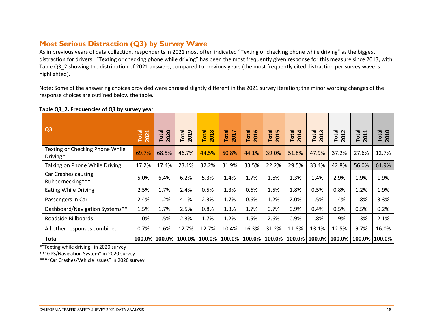# **Most Serious Distraction (Q3) by Survey Wave**

As in previous years of data collection, respondents in 2021 most often indicated "Texting or checking phone while driving" as the biggest distraction for drivers. "Texting or checking phone while driving" has been the most frequently given response for this measure since 2013, with Table Q3 2 showing the distribution of 2021 answers, compared to previous years (the most frequently cited distraction per survey wave is highlighted).

Note: Some of the answering choices provided were phrased slightly different in the 2021 survey iteration; the minor wording changes of the response choices are outlined below the table.

<span id="page-17-0"></span>

| Q <sub>3</sub>                              | <b>Total</b><br>2021 | Total<br>2020 | Total<br>2019 | <b>Total</b><br>2018 | <b>Total</b><br>2017 | <b>Total</b><br>2016 | <b>Total</b><br>2015 | <b>Total</b><br>2014 | 2013<br>Total | <b>Total</b><br>2012 | Total<br>2011 | Total<br>2010 |
|---------------------------------------------|----------------------|---------------|---------------|----------------------|----------------------|----------------------|----------------------|----------------------|---------------|----------------------|---------------|---------------|
| Texting or Checking Phone While<br>Driving* | 69.7%                | 68.5%         | 46.7%         | 44.5%                | 50.8%                | 44.1%                | 39.0%                | 51.8%                | 47.9%         | 37.2%                | 27.6%         | 12.7%         |
| Talking on Phone While Driving              | 17.2%                | 17.4%         | 23.1%         | 32.2%                | 31.9%                | 33.5%                | 22.2%                | 29.5%                | 33.4%         | 42.8%                | 56.0%         | 61.9%         |
| Car Crashes causing<br>Rubbernecking***     | 5.0%                 | 6.4%          | 6.2%          | 5.3%                 | 1.4%                 | 1.7%                 | 1.6%                 | 1.3%                 | 1.4%          | 2.9%                 | 1.9%          | 1.9%          |
| <b>Eating While Driving</b>                 | 2.5%                 | 1.7%          | 2.4%          | 0.5%                 | 1.3%                 | 0.6%                 | 1.5%                 | 1.8%                 | 0.5%          | 0.8%                 | 1.2%          | 1.9%          |
| Passengers in Car                           | 2.4%                 | 1.2%          | 4.1%          | 2.3%                 | 1.7%                 | 0.6%                 | 1.2%                 | 2.0%                 | 1.5%          | 1.4%                 | 1.8%          | 3.3%          |
| Dashboard/Navigation Systems**              | 1.5%                 | 1.7%          | 2.5%          | 0.8%                 | 1.3%                 | 1.7%                 | 0.7%                 | 0.9%                 | 0.4%          | 0.5%                 | 0.5%          | 0.2%          |
| Roadside Billboards                         | 1.0%                 | 1.5%          | 2.3%          | 1.7%                 | 1.2%                 | 1.5%                 | 2.6%                 | 0.9%                 | 1.8%          | 1.9%                 | 1.3%          | 2.1%          |
| All other responses combined                | 0.7%                 | 1.6%          | 12.7%         | 12.7%                | 10.4%                | 16.3%                | 31.2%                | 11.8%                | 13.1%         | 12.5%                | 9.7%          | 16.0%         |
| <b>Total</b>                                | 100.0%               | 100.0%        | 100.0%        | 100.0%               | 100.0%               | 100.0%               | 100.0%               | 100.0%               | 100.0%        | 100.0%               | 100.0%        | 100.0%        |

### **Table Q3\_2. Frequencies of Q3 by survey year**

\*"Texting while driving" in 2020 survey

\*\*"GPS/Navigation System" in 2020 survey

\*\*\*"Car Crashes/Vehicle Issues" in 2020 survey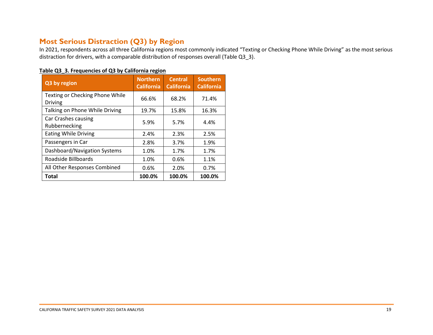# **Most Serious Distraction (Q3) by Region**

In 2021, respondents across all three California regions most commonly indicated "Texting or Checking Phone While Driving" as the most serious distraction for drivers, with a comparable distribution of responses overall (Table Q3\_3).

<span id="page-18-0"></span>

| Q3 by region                                      | <b>Northern</b><br><b>California</b> | <b>Central</b><br><b>California</b> | <b>Southern</b><br><b>California</b> |
|---------------------------------------------------|--------------------------------------|-------------------------------------|--------------------------------------|
| Texting or Checking Phone While<br><b>Driving</b> | 66.6%                                | 68.2%                               | 71.4%                                |
| Talking on Phone While Driving                    | 19.7%                                | 15.8%                               | 16.3%                                |
| Car Crashes causing<br>Rubbernecking              | 5.9%                                 | 5.7%                                | 4.4%                                 |
| <b>Eating While Driving</b>                       | 2.4%                                 | 2.3%                                | 2.5%                                 |
| Passengers in Car                                 | 2.8%                                 | 3.7%                                | 1.9%                                 |
| Dashboard/Navigation Systems                      | 1.0%                                 | 1.7%                                | 1.7%                                 |
| Roadside Billboards                               | 1.0%                                 | 0.6%                                | 1.1%                                 |
| All Other Responses Combined                      | 0.6%                                 | 2.0%                                | 0.7%                                 |
| Total                                             | 100.0%                               | 100.0%                              | 100.0%                               |

### **Table Q3\_3. Frequencies of Q3 by California region**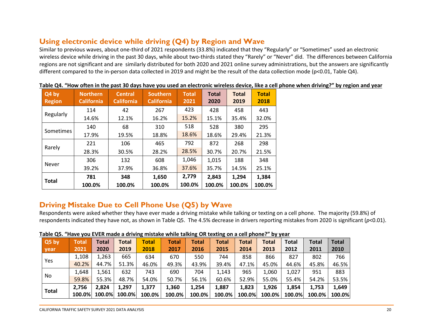# **Using electronic device while driving (Q4) by Region and Wave**

Similar to previous waves, about one-third of 2021 respondents (33.8%) indicated that they "Regularly" or "Sometimes" used an electronic wireless device while driving in the past 30 days, while about two-thirds stated they "Rarely" or "Never" did. The differences between California regions are not significant and are similarly distributed for both 2020 and 2021 online survey administrations, but the answers are significantly different compared to the in-person data collected in 2019 and might be the result of the data collection mode (p<0.01, Table Q4).

<span id="page-19-0"></span>

| Q4 by<br><b>Region</b> | <b>Northern</b><br><b>California</b> | <b>Central</b><br><b>California</b> | <b>Southern</b><br><b>California</b> | <b>Total</b><br>2021 | <b>Total</b><br>2020 | <b>Total</b><br>2019 | <b>Total</b><br>2018 |
|------------------------|--------------------------------------|-------------------------------------|--------------------------------------|----------------------|----------------------|----------------------|----------------------|
|                        | 114                                  | 42                                  | 267                                  | 423                  | 428                  | 458                  | 443                  |
| Regularly              | 14.6%                                | 12.1%                               | 16.2%                                | 15.2%                | 15.1%                | 35.4%                | 32.0%                |
|                        | 140                                  | 68                                  | 310                                  | 518                  | 528                  | 380                  | 295                  |
| Sometimes              | 17.9%                                | 19.5%                               | 18.8%                                | 18.6%                | 18.6%                | 29.4%                | 21.3%                |
|                        | 221                                  | 106                                 | 465                                  | 792                  | 872                  | 268                  | 298                  |
| Rarely                 | 28.3%                                | 30.5%                               | 28.2%                                | 28.5%                | 30.7%                | 20.7%                | 21.5%                |
| <b>Never</b>           | 306                                  | 132                                 | 608                                  | 1,046                | 1,015                | 188                  | 348                  |
|                        | 39.2%                                | 37.9%                               | 36.8%                                | 37.6%                | 35.7%                | 14.5%                | 25.1%                |
|                        | 781                                  | 348                                 | 1,650                                | 2,779                | 2,843                | 1,294                | 1,384                |
| <b>Total</b>           | 100.0%                               | 100.0%                              | 100.0%                               | 100.0%               | 100.0%               | 100.0%               | 100.0%               |

#### **Table Q4. "How often in the past 30 days have you used an electronic wireless device, like a cell phone when driving?" by region and year**

# **Driving Mistake Due to Cell Phone Use (Q5) by Wave**

Respondents were asked whether they have ever made a driving mistake while talking or texting on a cell phone. The majority (59.8%) of respondents indicated they have not, as shown in Table Q5. The 4.5% decrease in drivers reporting mistakes from 2020 is significant (*p*<0.01).

<span id="page-19-1"></span>

| $Q5$ by      | Total  | Total  | <b>Total</b> | Total  | <b>Total</b> | Total  | Total  | <b>Total</b> | <b>Total</b> | <b>Total</b> | <b>Total</b> | <b>Total</b> |
|--------------|--------|--------|--------------|--------|--------------|--------|--------|--------------|--------------|--------------|--------------|--------------|
| year         | 2021   | 2020   | 2019         | 2018   | 2017         | 2016   | 2015   | 2014         | 2013         | 2012         | 2011         | 2010         |
|              | 1,108  | 1,263  | 665          | 634    | 670          | 550    | 744    | 858          | 866          | 827          | 802          | 766          |
| Yes          | 40.2%  | 44.7%  | 51.3%        | 46.0%  | 49.3%        | 43.9%  | 39.4%  | 47.1%        | 45.0%        | 44.6%        | 45.8%        | 46.5%        |
|              | 1,648  | 1,561  | 632          | 743    | 690          | 704    | 1,143  | 965          | 1,060        | 1,027        | 951          | 883          |
| No.          | 59.8%  | 55.3%  | 48.7%        | 54.0%  | 50.7%        | 56.1%  | 60.6%  | 52.9%        | 55.0%        | 55.4%        | 54.2%        | 53.5%        |
| <b>Total</b> | 2,756  | 2,824  | 1,297        | 1,377  | 1,360        | 1,254  | 1,887  | 1,823        | 1,926        | 1,854        | 1,753        | 1,649        |
|              | 100.0% | 100.0% | 100.0%       | 100.0% | 100.0%       | 100.0% | 100.0% | 100.0%       | 100.0%       | 100.0%       | 100.0%       | 100.0%       |

#### **Table Q5. "Have you EVER made a driving mistake while talking OR texting on a cell phone?" by year**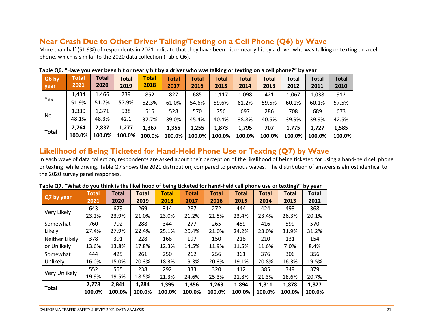### **Near Crash Due to Other Driver Talking/Texting on a Cell Phone (Q6) by Wave**

More than half (51.9%) of respondents in 2021 indicate that they have been hit or nearly hit by a driver who was talking or texting on a cell phone, which is similar to the 2020 data collection (Table Q6).

| Q6 by        | Total  | <b>Total</b> | <b>Total</b> | Total  | Total  | <b>Total</b> | <b>Total</b> | <b>Total</b> | <b>Total</b> | <b>Total</b> | <b>Total</b> | <b>Total</b> |
|--------------|--------|--------------|--------------|--------|--------|--------------|--------------|--------------|--------------|--------------|--------------|--------------|
| year         | 2021   | 2020         | 2019         | 2018   | 2017   | 2016         | 2015         | 2014         | 2013         | 2012         | 2011         | 2010         |
|              | 1,434  | 1,466        | 739          | 852    | 827    | 685          | 1,117        | 1,098        | 421          | 1.067        | 1,038        | 912          |
| Yes          | 51.9%  | 51.7%        | 57.9%        | 62.3%  | 61.0%  | 54.6%        | 59.6%        | 61.2%        | 59.5%        | 60.1%        | 60.1%        | 57.5%        |
|              | 1,330  | 1,371        | 538          | 515    | 528    | 570          | 756          | 697          | 286          | 708          | 689          | 673          |
| No           | 48.1%  | 48.3%        | 42.1         | 37.7%  | 39.0%  | 45.4%        | 40.4%        | 38.8%        | 40.5%        | 39.9%        | 39.9%        | 42.5%        |
|              | 2,764  | 2,837        | 1,277        | 1,367  | 1,355  | 1,255        | 1,873        | 1,795        | 707          | 1.775        | 1.727        | 1,585        |
| <b>Total</b> | 100.0% | 100.0%       | 100.0%       | 100.0% | 100.0% | 100.0%       | 100.0%       | 100.0%       | 100.0%       | 100.0%       | 100.0%       | 100.0%       |

### **Table Q6. "Have you ever been hit or nearly hit by a driver who was talking or texting on a cell phone?" by year**

### <span id="page-20-0"></span>**Likelihood of Being Ticketed for Hand-Held Phone Use or Texting (Q7) by Wave**

In each wave of data collection, respondents are asked about their perception of the likelihood of being ticketed for using a hand-held cell phone or texting while driving. Table Q7 shows the 2021 distribution, compared to previous waves. The distribution of answers is almost identical to the 2020 survey panel responses.

<span id="page-20-1"></span>

|                | <b>Total</b> | <b>Total</b> | <b>Total</b> | <b>Total</b> | <b>Total</b> | <b>Total</b> | <b>Total</b> | <b>Total</b> | <b>Total</b> | <b>Total</b> |
|----------------|--------------|--------------|--------------|--------------|--------------|--------------|--------------|--------------|--------------|--------------|
| Q7 by year     | 2021         | 2020         | 2019         | 2018         | 2017         | 2016         | 2015         | 2014         | 2013         | 2012         |
| Very Likely    | 643          | 679          | 269          | 314          | 287          | 272          | 444          | 424          | 493          | 368          |
|                | 23.2%        | 23.9%        | 21.0%        | 23.0%        | 21.2%        | 21.5%        | 23.4%        | 23.4%        | 26.3%        | 20.1%        |
| Somewhat       | 760          | 792          | 288          | 344          | 277          | 265          | 459          | 416          | 599          | 570          |
| Likely         | 27.4%        | 27.9%        | 22.4%        | 25.1%        | 20.4%        | 21.0%        | 24.2%        | 23.0%        | 31.9%        | 31.2%        |
| Neither Likely | 378          | 391          | 228          | 168          | 197          | 150          | 218          | 210          | 131          | 154          |
| or Unlikely    | 13.6%        | 13.8%        | 17.8%        | 12.3%        | 14.5%        | 11.9%        | 11.5%        | 11.6%        | 7.0%         | 8.4%         |
| Somewhat       | 444          | 425          | 261          | 250          | 262          | 256          | 361          | 376          | 306          | 356          |
| Unlikely       | 16.0%        | 15.0%        | 20.3%        | 18.3%        | 19.3%        | 20.3%        | 19.1%        | 20.8%        | 16.3%        | 19.5%        |
| Very Unlikely  | 552          | 555          | 238          | 292          | 333          | 320          | 412          | 385          | 349          | 379          |
|                | 19.9%        | 19.5%        | 18.5%        | 21.3%        | 24.6%        | 25.3%        | 21.8%        | 21.3%        | 18.6%        | 20.7%        |
|                | 2,778        | 2,841        | 1,284        | 1,395        | 1,356        | 1,263        | 1,894        | 1,811        | 1,878        | 1,827        |
| <b>Total</b>   | 100.0%       | 100.0%       | 100.0%       | 100.0%       | 100.0%       | 100.0%       | 100.0%       | 100.0%       | 100.0%       | 100.0%       |

#### **Table Q7. "What do you think is the likelihood of being ticketed for hand-held cell phone use or texting?" by year**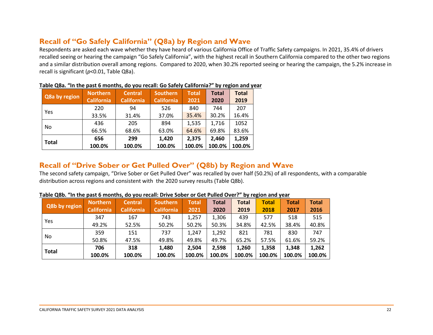### **Recall of "Go Safely California" (Q8a) by Region and Wave**

Respondents are asked each wave whether they have heard of various California Office of Traffic Safety campaigns. In 2021, 35.4% of drivers recalled seeing or hearing the campaign "Go Safely California", with the highest recall in Southern California compared to the other two regions and a similar distribution overall among regions. Compared to 2020, when 30.2% reported seeing or hearing the campaign, the 5.2% increase in recall is significant (*p*<0.01, Table Q8a).

| Q8a by region | <b>Northern</b>   | <b>Central</b>    | <b>Southern</b>   | <b>Total</b> | <b>Total</b> | <b>Total</b> |
|---------------|-------------------|-------------------|-------------------|--------------|--------------|--------------|
|               | <b>California</b> | <b>California</b> | <b>California</b> | 2021         | 2020         | 2019         |
| Yes           | 220               | 94                | 526               | 840          | 744          | 207          |
|               | 33.5%             | 31.4%             | 37.0%             | 35.4%        | 30.2%        | 16.4%        |
| No            | 436               | 205               | 894               | 1,535        | 1,716        | 1052         |
|               | 66.5%             | 68.6%             | 63.0%             | 64.6%        | 69.8%        | 83.6%        |
| <b>Total</b>  | 656               | 299               | 1,420             | 2,375        | 2.460        | 1,259        |
|               | 100.0%            | 100.0%            | 100.0%            | 100.0%       | 100.0%       | 100.0%       |

### **Table Q8a. "In the past 6 months, do you recall: Go Safely California?" by region and year**

### <span id="page-21-0"></span>**Recall of "Drive Sober or Get Pulled Over" (Q8b) by Region and Wave**

The second safety campaign, "Drive Sober or Get Pulled Over" was recalled by over half (50.2%) of all respondents, with a comparable distribution across regions and consistent with the 2020 survey results (Table Q8b).

<span id="page-21-1"></span>

| Q8b by region | Northern          | <b>Central</b>    | <b>Southern</b>   | <b>Total</b> | <b>Total</b> | <b>Total</b> | <b>Total</b> | Total  | <b>Total</b> |
|---------------|-------------------|-------------------|-------------------|--------------|--------------|--------------|--------------|--------|--------------|
|               | <b>California</b> | <b>California</b> | <b>California</b> | 2021         | 2020         | 2019         | 2018         | 2017   | 2016         |
| Yes           | 347               | 167               | 743               | 1,257        | 1,306        | 439          | 577          | 518    | 515          |
|               | 49.2%             | 52.5%             | 50.2%             | 50.2%        | 50.3%        | 34.8%        | 42.5%        | 38.4%  | 40.8%        |
| No            | 359               | 151               | 737               | 1,247        | 1,292        | 821          | 781          | 830    | 747          |
|               | 50.8%             | 47.5%             | 49.8%             | 49.8%        | 49.7%        | 65.2%        | 57.5%        | 61.6%  | 59.2%        |
| <b>Total</b>  | 706               | 318               | 1,480             | 2,504        | 2,598        | 1,260        | 1,358        | 1,348  | 1,262        |
|               | 100.0%            | 100.0%            | 100.0%            | 100.0%       | 100.0%       | 100.0%       | 100.0%       | 100.0% | 100.0%       |

#### **Table Q8b. "In the past 6 months, do you recall: Drive Sober or Get Pulled Over?" by region and year**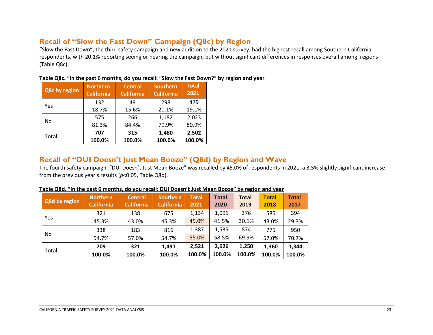# **Recall of "Slow the Fast Down" Campaign (Q8c) by Region**

"Slow the Fast Down", the third safety campaign and new addition to the 2021 survey, had the highest recall among Southern California respondents, with 20.1% reporting seeing or hearing the campaign, but without significant differences in responses overall among regions (Table Q8c).

| Q8c by region | <b>Northern</b><br><b>California</b> | <b>Central</b><br><b>California</b> | <b>Southern</b><br><b>California</b> | <b>Total</b><br>2021 |
|---------------|--------------------------------------|-------------------------------------|--------------------------------------|----------------------|
|               | 132                                  | 49                                  | 298                                  | 479                  |
| Yes           | 18.7%                                | 15.6%                               | 20.1%                                | 19.1%                |
| No            | 575                                  | 266                                 | 1,182                                | 2,023                |
|               | 81.3%                                | 84.4%                               | 79.9%                                | 80.9%                |
| <b>Total</b>  | 707                                  | 315                                 | 1,480                                | 2,502                |
|               | 100.0%                               | 100.0%                              | 100.0%                               | 100.0%               |

| Table Q8c. "In the past 6 months, do you recall: "Slow the Fast Down?" by region and year |  |
|-------------------------------------------------------------------------------------------|--|
|-------------------------------------------------------------------------------------------|--|

### <span id="page-22-0"></span>**Recall of "DUI Doesn't Just Mean Booze" (Q8d) by Region and Wave**

The fourth safety campaign, "DUI Doesn't Just Mean Booze" was recalled by 45.0% of respondents in 2021, a 3.5% slightly significant increase from the previous year's results (*p*<0.05, Table Q8d).

<span id="page-22-1"></span>

| Q8d by region | <b>Northern</b><br><b>California</b> | <b>Central</b><br><b>California</b> | <b>Southern</b><br><b>California</b> | <b>Total</b><br>2021 | <b>Total</b><br>2020 | <b>Total</b><br>2019 | <b>Total</b><br>2018 | <b>Total</b><br>2017 |
|---------------|--------------------------------------|-------------------------------------|--------------------------------------|----------------------|----------------------|----------------------|----------------------|----------------------|
| Yes           | 321                                  | 138                                 | 675                                  | 1,134                | 1,091                | 376                  | 585                  | 394                  |
|               | 45.3%                                | 43.0%                               | 45.3%                                | 45.0%                | 41.5%                | 30.1%                | 43.0%                | 29.3%                |
|               | 338                                  | 183                                 | 816                                  | 1,387                | 1,535                | 874                  | 775                  | 950                  |
| No.           | 54.7%                                | 57.0%                               | 54.7%                                | 55.0%                | 58.5%                | 69.9%                | 57.0%                | 70.7%                |
|               | 709                                  | 321                                 | 1,491                                | 2,521                | 2,626                | 1,250                | 1,360                | 1,344                |
| <b>Total</b>  | 100.0%                               | 100.0%                              | 100.0%                               | 100.0%               | 100.0%               | 100.0%               | 100.0%               | 100.0%               |

| Table Q8d. "In the past 6 months, do you recall: DUI Doesn't Just Mean Booze" by region and year |  |  |  |  |  |  |  |  |  |
|--------------------------------------------------------------------------------------------------|--|--|--|--|--|--|--|--|--|
|--------------------------------------------------------------------------------------------------|--|--|--|--|--|--|--|--|--|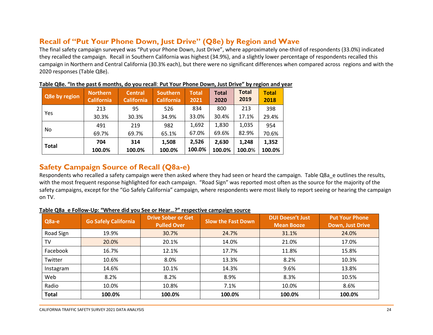### **Recall of "Put Your Phone Down, Just Drive" (Q8e) by Region and Wave**

The final safety campaign surveyed was "Put your Phone Down, Just Drive", where approximately one-third of respondents (33.0%) indicated they recalled the campaign. Recall in Southern California was highest (34.9%), and a slightly lower percentage of respondents recalled this campaign in Northern and Central California (30.3% each), but there were no significant differences when compared across regions and with the 2020 responses (Table Q8e).

| Q8e by region | <b>Northern</b><br><b>California</b> | <b>Central</b><br><b>California</b> | <b>Southern</b><br><b>California</b> | <b>Total</b><br>2021 | <b>Total</b><br>2020 | <b>Total</b><br>2019 | <b>Total</b><br>2018 |
|---------------|--------------------------------------|-------------------------------------|--------------------------------------|----------------------|----------------------|----------------------|----------------------|
|               | 213                                  | 95                                  | 526                                  | 834                  | 800                  | 213                  | 398                  |
| Yes           | 30.3%                                | 30.3%                               | 34.9%                                | 33.0%                | 30.4%                | 17.1%                | 29.4%                |
|               | 491                                  | 219                                 | 982                                  | 1,692                | 1,830                | 1,035                | 954                  |
| No            | 69.7%                                | 69.7%                               | 65.1%                                | 67.0%                | 69.6%                | 82.9%                | 70.6%                |
| <b>Total</b>  | 704                                  | 314                                 | 1,508                                | 2,526                | 2,630                | 1,248                | 1,352                |
|               | 100.0%                               | 100.0%                              | 100.0%                               | 100.0%               | 100.0%               | 100.0%               | 100.0%               |

| Table Q8e. "In the past 6 months, do you recall: Put Your Phone Down, Just Drive" by region and year |  |
|------------------------------------------------------------------------------------------------------|--|
|------------------------------------------------------------------------------------------------------|--|

### <span id="page-23-0"></span>**Safety Campaign Source of Recall (Q8a-e)**

Respondents who recalled a safety campaign were then asked where they had seen or heard the campaign. Table Q8a e outlines the results, with the most frequent response highlighted for each campaign. "Road Sign" was reported most often as the source for the majority of the safety campaigns, except for the "Go Safely California" campaign, where respondents were most likely to report seeing or hearing the campaign on TV.

### **Table Q8a\_e Follow-Up: "Where did you See or Hear…?" respective campaign source**

<span id="page-23-1"></span>

| Q8a-e        | <b>Go Safely California</b> | <b>Drive Sober or Get</b><br><b>Pulled Over</b> | <b>Slow the Fast Down</b> | <b>DUI Doesn't Just</b><br><b>Mean Booze</b> | <b>Put Your Phone</b><br>Down, Just Drive |
|--------------|-----------------------------|-------------------------------------------------|---------------------------|----------------------------------------------|-------------------------------------------|
| Road Sign    | 19.9%                       | 30.7%                                           | 24.7%                     | 31.1%                                        | 24.0%                                     |
| TV           | 20.0%                       | 20.1%                                           | 14.0%                     | 21.0%                                        | 17.0%                                     |
| Facebook     | 16.7%                       | 12.1%                                           | 17.7%                     | 11.8%                                        | 15.8%                                     |
| Twitter      | 10.6%                       | 8.0%                                            | 13.3%                     | 8.2%                                         | 10.3%                                     |
| Instagram    | 14.6%                       | 10.1%                                           | 14.3%                     | 9.6%                                         | 13.8%                                     |
| Web          | 8.2%                        | 8.2%                                            | 8.9%                      | 8.3%                                         | 10.5%                                     |
| Radio        | 10.0%                       | 10.8%                                           | 7.1%                      | 10.0%                                        | 8.6%                                      |
| <b>Total</b> | 100.0%                      | 100.0%                                          | 100.0%                    | 100.0%                                       | 100.0%                                    |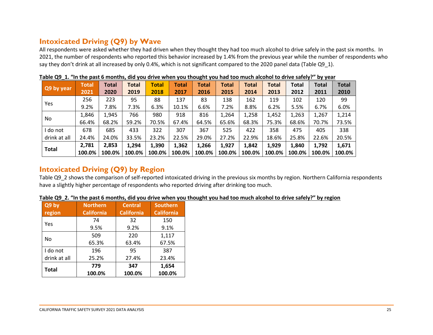# **Intoxicated Driving (Q9) by Wave**

All respondents were asked whether they had driven when they thought they had too much alcohol to drive safely in the past six months. In 2021, the number of respondents who reported this behavior increased by 1.4% from the previous year while the number of respondents who say they don't drink at all increased by only 0.4%, which is not significant compared to the 2020 panel data (Table Q9\_1).

|              | Total  | <b>Total</b> | <b>Total</b> | <b>Total</b> | <b>Total</b> | <b>Total</b> | <b>Total</b> | Total  | <b>Total</b> | Total  | <b>Total</b> | <b>Total</b> |
|--------------|--------|--------------|--------------|--------------|--------------|--------------|--------------|--------|--------------|--------|--------------|--------------|
| Q9 by year   | 2021   | 2020         | 2019         | 2018         | 2017         | 2016         | 2015         | 2014   | 2013         | 2012   | 2011         | 2010         |
| Yes          | 256    | 223          | 95           | 88           | 137          | 83           | 138          | 162    | 119          | 102    | 120          | 99           |
|              | 9.2%   | 7.8%         | 7.3%         | 6.3%         | 10.1%        | 6.6%         | 7.2%         | 8.8%   | 6.2%         | 5.5%   | 6.7%         | 6.0%         |
| No           | 1,846  | 1,945        | 766          | 980          | 918          | 816          | 1,264        | 1,258  | 1,452        | 1,263  | 1,267        | 1,214        |
|              | 66.4%  | 68.2%        | 59.2%        | 70.5%        | 67.4%        | 64.5%        | 65.6%        | 68.3%  | 75.3%        | 68.6%  | 70.7%        | 73.5%        |
| I do not     | 678    | 685          | 433          | 322          | 307          | 367          | 525          | 422    | 358          | 475    | 405          | 338          |
| drink at all | 24.4%  | 24.0%        | 33.5%        | 23.2%        | 22.5%        | 29.0%        | 27.2%        | 22.9%  | 18.6%        | 25.8%  | 22.6%        | 20.5%        |
| <b>Total</b> | 2,781  | 2,853        | 1,294        | 1,390        | 1,362        | 1,266        | 1,927        | 1,842  | 1,929        | 1,840  | 1,792        | 1,671        |
|              | 100.0% | 100.0%       | 100.0%       | 100.0%       | 100.0%       | 100.0%       | 100.0%       | 100.0% | 100.0%       | 100.0% | 100.0%       | 100.0%       |

**Table Q9\_1. "In the past 6 months, did you drive when you thought you had too much alcohol to drive safely?" by year**

### <span id="page-24-0"></span>**Intoxicated Driving (Q9) by Region**

Table Q9\_2 shows the comparison of self-reported intoxicated driving in the previous six months by region. Northern California respondents have a slightly higher percentage of respondents who reported driving after drinking too much.

| Table Q9 2. "In the past 6 months, did you drive when you thought you had too much alcohol to drive safely?" by region |
|------------------------------------------------------------------------------------------------------------------------|
|------------------------------------------------------------------------------------------------------------------------|

<span id="page-24-1"></span>

| Q9 by        | <b>Northern</b>   | <b>Central</b>    | <b>Southern</b>   |  |
|--------------|-------------------|-------------------|-------------------|--|
| region       | <b>California</b> | <b>California</b> | <b>California</b> |  |
| Yes          | 74                | 32                | 150               |  |
|              | 9.5%              | 9.2%              | 9.1%              |  |
|              | 509               | 220               | 1,117             |  |
| No           | 65.3%             | 63.4%             | 67.5%             |  |
| I do not     | 196               | 95                | 387               |  |
| drink at all | 25.2%             | 27.4%             | 23.4%             |  |
| <b>Total</b> | 779               | 347               | 1,654             |  |
|              | 100.0%            | 100.0%            | 100.0%            |  |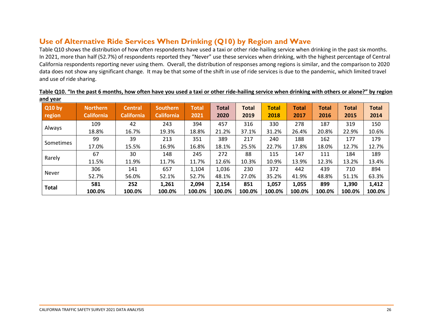## **Use of Alternative Ride Services When Drinking (Q10) by Region and Wave**

Table Q10 shows the distribution of how often respondents have used a taxi or other ride-hailing service when drinking in the past six months. In 2021, more than half (52.7%) of respondents reported they "Never" use these services when drinking, with the highest percentage of Central California respondents reporting never using them. Overall, the distribution of responses among regions is similar, and the comparison to 2020 data does not show any significant change. It may be that some of the shift in use of ride services is due to the pandemic, which limited travel and use of ride sharing.

<span id="page-25-0"></span>

| <b>Q10 by</b><br>region | <b>Northern</b><br><b>California</b> | <b>Central</b><br><b>California</b> | <b>Southern</b><br><b>California</b> | <b>Total</b><br>2021 | <b>Total</b><br>2020 | <b>Total</b><br>2019 | <b>Total</b><br>2018 | <b>Total</b><br>2017 | Total<br>2016 | <b>Total</b><br>2015 | <b>Total</b><br>2014 |
|-------------------------|--------------------------------------|-------------------------------------|--------------------------------------|----------------------|----------------------|----------------------|----------------------|----------------------|---------------|----------------------|----------------------|
| Always                  | 109                                  | 42                                  | 243                                  | 394                  | 457                  | 316                  | 330                  | 278                  | 187           | 319                  | 150                  |
|                         | 18.8%                                | 16.7%                               | 19.3%                                | 18.8%                | 21.2%                | 37.1%                | 31.2%                | 26.4%                | 20.8%         | 22.9%                | 10.6%                |
| <b>Sometimes</b>        | 99                                   | 39                                  | 213                                  | 351                  | 389                  | 217                  | 240                  | 188                  | 162           | 177                  | 179                  |
|                         | 17.0%                                | 15.5%                               | 16.9%                                | 16.8%                | 18.1%                | 25.5%                | 22.7%                | 17.8%                | 18.0%         | 12.7%                | 12.7%                |
|                         | 67                                   | 30                                  | 148                                  | 245                  | 272                  | 88                   | 115                  | 147                  | 111           | 184                  | 189                  |
| Rarely                  | 11.5%                                | 11.9%                               | 11.7%                                | 11.7%                | 12.6%                | 10.3%                | 10.9%                | 13.9%                | 12.3%         | 13.2%                | 13.4%                |
|                         | 306                                  | 141                                 | 657                                  | 1,104                | 1,036                | 230                  | 372                  | 442                  | 439           | 710                  | 894                  |
| <b>Never</b>            | 52.7%                                | 56.0%                               | 52.1%                                | 52.7%                | 48.1%                | 27.0%                | 35.2%                | 41.9%                | 48.8%         | 51.1%                | 63.3%                |
|                         | 581                                  | 252                                 | 1,261                                | 2,094                | 2,154                | 851                  | 1,057                | 1,055                | 899           | 1,390                | 1,412                |
| <b>Total</b>            | 100.0%                               | 100.0%                              | 100.0%                               | 100.0%               | 100.0%               | 100.0%               | 100.0%               | 100.0%               | 100.0%        | 100.0%               | 100.0%               |

#### **Table Q10. "In the past 6 months, how often have you used a taxi or other ride-hailing service when drinking with others or alone?" by region and year**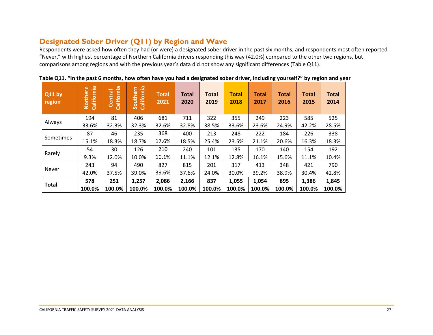## **Designated Sober Driver (Q11) by Region and Wave**

Respondents were asked how often they had (or were) a designated sober driver in the past six months, and respondents most often reported "Never," with highest percentage of Northern California drivers responding this way (42.0%) compared to the other two regions, but comparisons among regions and with the previous year's data did not show any significant differences (Table Q11).

<span id="page-26-0"></span>

| Q11 by<br>region | California<br><b>E</b><br>Northe | California<br>Central | California<br><b>Southern</b> | <b>Total</b><br>2021 | <b>Total</b><br>2020 | <b>Total</b><br>2019 | <b>Total</b><br>2018 | <b>Total</b><br>2017 | <b>Total</b><br>2016 | <b>Total</b><br>2015 | <b>Total</b><br>2014 |
|------------------|----------------------------------|-----------------------|-------------------------------|----------------------|----------------------|----------------------|----------------------|----------------------|----------------------|----------------------|----------------------|
| Always           | 194                              | 81                    | 406                           | 681                  | 711                  | 322                  | 355                  | 249                  | 223                  | 585                  | 525                  |
|                  | 33.6%                            | 32.3%                 | 32.3%                         | 32.6%                | 32.8%                | 38.5%                | 33.6%                | 23.6%                | 24.9%                | 42.2%                | 28.5%                |
| Sometimes        | 87                               | 46                    | 235                           | 368                  | 400                  | 213                  | 248                  | 222                  | 184                  | 226                  | 338                  |
|                  | 15.1%                            | 18.3%                 | 18.7%                         | 17.6%                | 18.5%                | 25.4%                | 23.5%                | 21.1%                | 20.6%                | 16.3%                | 18.3%                |
|                  | 54                               | 30                    | 126                           | 210                  | 240                  | 101                  | 135                  | 170                  | 140                  | 154                  | 192                  |
| Rarely           | 9.3%                             | 12.0%                 | 10.0%                         | 10.1%                | 11.1%                | 12.1%                | 12.8%                | 16.1%                | 15.6%                | 11.1%                | 10.4%                |
| <b>Never</b>     | 243                              | 94                    | 490                           | 827                  | 815                  | 201                  | 317                  | 413                  | 348                  | 421                  | 790                  |
|                  | 42.0%                            | 37.5%                 | 39.0%                         | 39.6%                | 37.6%                | 24.0%                | 30.0%                | 39.2%                | 38.9%                | 30.4%                | 42.8%                |
| <b>Total</b>     | 578                              | 251                   | 1,257                         | 2,086                | 2,166                | 837                  | 1,055                | 1,054                | 895                  | 1,386                | 1,845                |
|                  | 100.0%                           | 100.0%                | 100.0%                        | 100.0%               | 100.0%               | 100.0%               | 100.0%               | 100.0%               | 100.0%               | 100.0%               | 100.0%               |

**Table Q11. "In the past 6 months, how often have you had a designated sober driver, including yourself?" by region and year**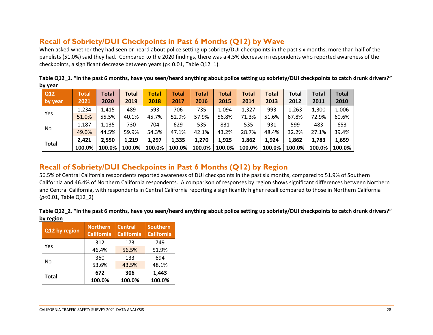## **Recall of Sobriety/DUI Checkpoints in Past 6 Months (Q12) by Wave**

When asked whether they had seen or heard about police setting up sobriety/DUI checkpoints in the past six months, more than half of the panelists (51.0%) said they had. Compared to the 2020 findings, there was a 4.5% decrease in respondents who reported awareness of the checkpoints, a significant decrease between years (p< 0.01, Table Q12\_1).

| <u>by year</u> |        |              |              |              |        |              |        |              |              |        |              |              |
|----------------|--------|--------------|--------------|--------------|--------|--------------|--------|--------------|--------------|--------|--------------|--------------|
| Q12            | Total  | <b>Total</b> | <b>Total</b> | <b>Total</b> | Total  | <b>Total</b> | Total  | <b>Total</b> | <b>Total</b> | Total  | <b>Total</b> | <b>Total</b> |
| by year        | 2021   | 2020         | 2019         | 2018         | 2017   | 2016         | 2015   | 2014         | 2013         | 2012   | 2011         | 2010         |
| Yes            | 1,234  | 1,415        | 489          | 593          | 706    | 735          | 1,094  | 1,327        | 993          | 1,263  | 1,300        | 1,006        |
|                | 51.0%  | 55.5%        | 40.1%        | 45.7%        | 52.9%  | 57.9%        | 56.8%  | 71.3%        | 51.6%        | 67.8%  | 72.9%        | 60.6%        |
| No.            | 1,187  | 1,135        | 730          | 704          | 629    | 535          | 831    | 535          | 931          | 599    | 483          | 653          |
|                | 49.0%  | 44.5%        | 59.9%        | 54.3%        | 47.1%  | 42.1%        | 43.2%  | 28.7%        | 48.4%        | 32.2%  | 27.1%        | 39.4%        |
|                | 2,421  | 2,550        | 1,219        | 1,297        | 1,335  | 1,270        | 1,925  | 1,862        | 1,924        | 1,862  | 1,783        | 1,659        |
| <b>Total</b>   | 100.0% | 100.0%       | 100.0%       | 100.0%       | 100.0% | 100.0%       | 100.0% | 100.0%       | 100.0%       | 100.0% | 100.0%       | 100.0%       |

**Table Q12\_1. "In the past 6 months, have you seen/heard anything about police setting up sobriety/DUI checkpoints to catch drunk drivers?"**

### <span id="page-27-0"></span>**Recall of Sobriety/DUI Checkpoints in Past 6 Months (Q12) by Region**

56.5% of Central California respondents reported awareness of DUI checkpoints in the past six months, compared to 51.9% of Southern California and 46.4% of Northern California respondents. A comparison of responses by region shows significant differences between Northern and Central California, with respondents in Central California reporting a significantly higher recall compared to those in Northern California (*p*<0.01, Table Q12\_2)

#### **Table Q12\_2. "In the past 6 months, have you seen/heard anything about police setting up sobriety/DUI checkpoints to catch drunk drivers?" by region**

<span id="page-27-1"></span>

| Q12 by region | <b>Northern</b><br><b>California</b> | <b>Central</b><br><b>California</b> | <b>Southern</b><br><b>California</b> |
|---------------|--------------------------------------|-------------------------------------|--------------------------------------|
|               | 312                                  | 173                                 | 749                                  |
| Yes           | 46.4%                                | 56.5%                               | 51.9%                                |
|               | 360                                  | 133                                 | 694                                  |
| No            | 53.6%                                | 43.5%                               | 48.1%                                |
|               | 672                                  | 306                                 | 1,443                                |
| <b>Total</b>  | 100.0%                               | 100.0%                              | 100.0%                               |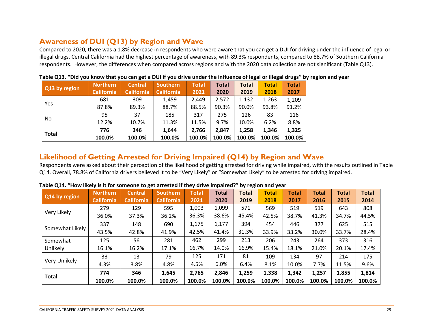# **Awareness of DUI (Q13) by Region and Wave**

Compared to 2020, there was a 1.8% decrease in respondents who were aware that you can get a DUI for driving under the influence of legal or illegal drugs. Central California had the highest percentage of awareness, with 89.3% respondents, compared to 88.7% of Southern California respondents. However, the differences when compared across regions and with the 2020 data collection are not significant (Table Q13).

|               | Northern          | <b>Central</b>    | <b>Southern</b>   | <b>Total</b> | <b>Total</b> | <b>Total</b> | <b>Total</b> | <b>Total</b> |
|---------------|-------------------|-------------------|-------------------|--------------|--------------|--------------|--------------|--------------|
| Q13 by region | <b>California</b> | <b>California</b> | <b>California</b> | 2021         | 2020         | 2019         | 2018         | 2017         |
|               | 681               | 309               | 1,459             | 2,449        | 2,572        | 1,132        | 1,263        | 1,209        |
| <b>Yes</b>    | 87.8%             | 89.3%             | 88.7%             | 88.5%        | 90.3%        | 90.0%        | 93.8%        | 91.2%        |
|               | 95                | 37                | 185               | 317          | 275          | 126          | 83           | 116          |
| No.           | 12.2%             | 10.7%             | 11.3%             | 11.5%        | 9.7%         | 10.0%        | 6.2%         | 8.8%         |
|               | 776               | 346               | 1,644             | 2,766        | 2.847        | 1.258        | 1.346        | 1,325        |
| <b>Total</b>  | 100.0%            | 100.0%            | 100.0%            | 100.0%       | 100.0%       | 100.0%       | 100.0%       | 100.0%       |

|  |  | Table Q13. "Did you know that you can get a DUI if you drive under the influence of legal or illegal drugs" by region and year |  |  |
|--|--|--------------------------------------------------------------------------------------------------------------------------------|--|--|
|  |  |                                                                                                                                |  |  |

### <span id="page-28-0"></span>**Likelihood of Getting Arrested for Driving Impaired (Q14) by Region and Wave**

Respondents were asked about their perception of the likelihood of getting arrested for driving while impaired, with the results outlined in Table Q14. Overall, 78.8% of California drivers believed it to be "Very Likely" or "Somewhat Likely" to be arrested for driving impaired.

<span id="page-28-1"></span>

|                 | <b>Northern</b>   | <b>Central</b>    | <b>Southern</b>   | <b>Total</b> | <b>Total</b> | <b>Total</b> | <b>Total</b> | <b>Total</b> | <b>Total</b> | <b>Total</b> | <b>Total</b> |
|-----------------|-------------------|-------------------|-------------------|--------------|--------------|--------------|--------------|--------------|--------------|--------------|--------------|
| Q14 by region   | <b>California</b> | <b>California</b> | <b>California</b> | 2021         | 2020         | 2019         | 2018         | 2017         | 2016         | 2015         | 2014         |
|                 | 279               | 129               | 595               | 1,003        | 1,099        | 571          | 569          | 519          | 519          | 643          | 808          |
| Very Likely     | 36.0%             | 37.3%             | 36.2%             | 36.3%        | 38.6%        | 45.4%        | 42.5%        | 38.7%        | 41.3%        | 34.7%        | 44.5%        |
|                 | 337               | 148               | 690               | 1,175        | 1,177        | 394          | 454          | 446          | 377          | 625          | 515          |
| Somewhat Likely | 43.5%             | 42.8%             | 41.9%             | 42.5%        | 41.4%        | 31.3%        | 33.9%        | 33.2%        | 30.0%        | 33.7%        | 28.4%        |
| Somewhat        | 125               | 56                | 281               | 462          | 299          | 213          | 206          | 243          | 264          | 373          | 316          |
| Unlikely        | 16.1%             | 16.2%             | 17.1%             | 16.7%        | 14.0%        | 16.9%        | 15.4%        | 18.1%        | 21.0%        | 20.1%        | 17.4%        |
|                 | 33                | 13                | 79                | 125          | 171          | 81           | 109          | 134          | 97           | 214          | 175          |
| Very Unlikely   | 4.3%              | 3.8%              | 4.8%              | 4.5%         | 6.0%         | 6.4%         | 8.1%         | 10.0%        | 7.7%         | 11.5%        | 9.6%         |
|                 | 774               | 346               | 1,645             | 2,765        | 2,846        | 1,259        | 1,338        | 1,342        | 1,257        | 1,855        | 1,814        |
| <b>Total</b>    | 100.0%            | 100.0%            | 100.0%            | 100.0%       | 100.0%       | 100.0%       | 100.0%       | 100.0%       | 100.0%       | 100.0%       | 100.0%       |

#### **Table Q14. "How likely is it for someone to get arrested if they drive impaired?" by region and year**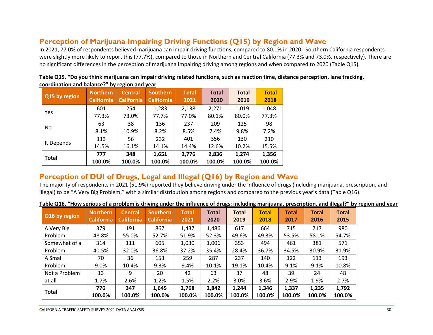# **Perception of Marijuana Impairing Driving Functions (Q15) by Region and Wave**

In 2021, 77.0% of respondents believed marijuana can impair driving functions, compared to 80.1% in 2020. Southern California respondents were slightly more likely to report this (77.7%), compared to those in Northern and Central California (77.3% and 73.0%, respectively). There are no significant differences in the perception of marijuana impairing driving among regions and when compared to 2020 (Table Q15).

| Q15 by region | <b>Northern</b><br><b>California</b> | <b>Central</b><br><b>California</b> | <b>Southern</b><br><b>California</b> | <b>Total</b><br>2021 | <b>Total</b><br>2020 | <b>Total</b><br>2019 | <b>Total</b><br>2018 |
|---------------|--------------------------------------|-------------------------------------|--------------------------------------|----------------------|----------------------|----------------------|----------------------|
| Yes           | 601                                  | 254                                 | 1,283                                | 2,138                | 2,271                | 1,019                | 1,048                |
|               | 77.3%                                | 73.0%                               | 77.7%                                | 77.0%                | 80.1%                | 80.0%                | 77.3%                |
| No.           | 63                                   | 38                                  | 136                                  | 237                  | 209                  | 125                  | 98                   |
|               | 8.1%                                 | 10.9%                               | 8.2%                                 | 8.5%                 | 7.4%                 | 9.8%                 | 7.2%                 |
|               | 113                                  | 56                                  | 232                                  | 401                  | 356                  | 130                  | 210                  |
| It Depends    | 14.5%                                | 16.1%                               | 14.1%                                | 14.4%                | 12.6%                | 10.2%                | 15.5%                |
|               | 777                                  | 348                                 | 1,651                                | 2,776                | 2,836                | 1,274                | 1,356                |
| <b>Total</b>  | 100.0%                               | 100.0%                              | 100.0%                               | 100.0%               | 100.0%               | 100.0%               | 100.0%               |

|                                               |  |  |  |  |  |  |  | Table Q15. "Do you think marijuana can impair driving related functions, such as reaction time, distance perception, lane tracking, |
|-----------------------------------------------|--|--|--|--|--|--|--|-------------------------------------------------------------------------------------------------------------------------------------|
| coordination and balance?" by region and year |  |  |  |  |  |  |  |                                                                                                                                     |

# <span id="page-29-0"></span>**Perception of DUI of Drugs, Legal and Illegal (Q16) by Region and Wave**

The majority of respondents in 2021 (51.9%) reported they believe driving under the influence of drugs (including marijuana, prescription, and illegal) to be "A Very Big Problem," with a similar distribution among regions and compared to the previous year's data (Table Q16).

**Table Q16. "How serious of a problem is driving under the influence of drugs: including marijuana, prescription, and illegal?" by region and year**

<span id="page-29-1"></span>

| Q16 by region | <b>Northern</b><br><b>California</b> | <b>Central</b><br><b>California</b> | <b>Southern</b><br><b>California</b> | <b>Total</b><br>2021 | <b>Total</b><br>2020 | <b>Total</b><br>2019 | <b>Total</b><br>2018 | <b>Total</b><br>2017 | <b>Total</b><br>2016 | <b>Total</b><br>2015 |
|---------------|--------------------------------------|-------------------------------------|--------------------------------------|----------------------|----------------------|----------------------|----------------------|----------------------|----------------------|----------------------|
| A Very Big    | 379                                  | 191                                 | 867                                  | 1,437                | 1,486                | 617                  | 664                  | 715                  | 717                  | 980                  |
| Problem       | 48.8%                                | 55.0%                               | 52.7%                                | 51.9%                | 52.3%                | 49.6%                | 49.3%                | 53.5%                | 58.1%                | 54.7%                |
| Somewhat of a | 314                                  | 111                                 | 605                                  | 1,030                | 1,006                | 353                  | 494                  | 461                  | 381                  | 571                  |
| Problem       | 40.5%                                | 32.0%                               | 36.8%                                | 37.2%                | 35.4%                | 28.4%                | 36.7%                | 34.5%                | 30.9%                | 31.9%                |
| A Small       | 70                                   | 36                                  | 153                                  | 259                  | 287                  | 237                  | 140                  | 122                  | 113                  | 193                  |
| Problem       | 9.0%                                 | 10.4%                               | 9.3%                                 | 9.4%                 | 10.1%                | 19.1%                | 10.4%                | 9.1%                 | 9.1%                 | 10.8%                |
| Not a Problem | 13                                   | 9                                   | 20                                   | 42                   | 63                   | 37                   | 48                   | 39                   | 24                   | 48                   |
| at all        | 1.7%                                 | 2.6%                                | 1.2%                                 | 1.5%                 | 2.2%                 | 3.0%                 | 3.6%                 | 2.9%                 | 1.9%                 | 2.7%                 |
| <b>Total</b>  | 776<br>100.0%                        | 347<br>100.0%                       | 1,645<br>100.0%                      | 2,768<br>100.0%      | 2,842<br>100.0%      | 1,244<br>100.0%      | 1,346<br>100.0%      | 1,337<br>100.0%      | 1,235<br>100.0%      | 1,792<br>100.0%      |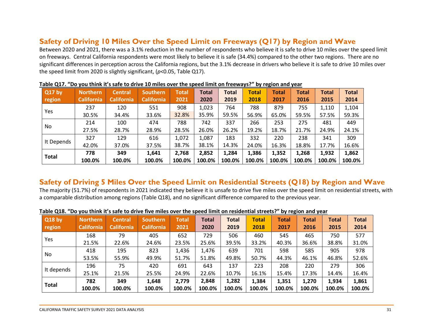### **Safety of Driving 10 Miles Over the Speed Limit on Freeways (Q17) by Region and Wave**

Between 2020 and 2021, there was a 3.1% reduction in the number of respondents who believe it is safe to drive 10 miles over the speed limit on freeways. Central California respondents were most likely to believe it is safe (34.4%) compared to the other two regions. There are no significant differences in perception across the California regions, but the 3.1% decrease in drivers who believe it is safe to drive 10 miles over the speed limit from 2020 is slightly significant, (*p*<0.05, Table Q17).

| <b>Q17 by</b><br>region | <b>Northern</b><br><b>California</b> | <b>Central</b><br><b>California</b> | Southern<br><b>California</b> | <b>Total</b><br>2021 | Total<br>2020 | <b>Total</b><br>2019 | <b>Total</b><br>2018 | Total<br>2017 | <b>Total</b><br>2016 | <b>Total</b><br>2015 | <b>Total</b><br>2014 |
|-------------------------|--------------------------------------|-------------------------------------|-------------------------------|----------------------|---------------|----------------------|----------------------|---------------|----------------------|----------------------|----------------------|
| Yes                     | 237                                  | 120                                 | 551                           | 908                  | 1,023         | 764                  | 788                  | 879           | 755                  | 1,110                | 1,104                |
|                         | 30.5%                                | 34.4%                               | 33.6%                         | 32.8%                | 35.9%         | 59.5%                | 56.9%                | 65.0%         | 59.5%                | 57.5%                | 59.3%                |
|                         | 214                                  | 100                                 | 474                           | 788                  | 742           | 337                  | 266                  | 253           | 275                  | 481                  | 449                  |
| No.                     | 27.5%                                | 28.7%                               | 28.9%                         | 28.5%                | 26.0%         | 26.2%                | 19.2%                | 18.7%         | 21.7%                | 24.9%                | 24.1%                |
|                         | 327                                  | 129                                 | 616                           | 1,072                | 1,087         | 183                  | 332                  | 220           | 238                  | 341                  | 309                  |
| It Depends              | 42.0%                                | 37.0%                               | 37.5%                         | 38.7%                | 38.1%         | 14.3%                | 24.0%                | 16.3%         | 18.8%                | 17.7%                | 16.6%                |
| <b>Total</b>            | 778                                  | 349                                 | 1,641                         | 2,768                | 2,852         | 1,284                | 1,386                | 1,352         | 1,268                | 1,932                | 1,862                |
|                         | 100.0%                               | 100.0%                              | 100.0%                        | 100.0%               | 100.0%        | 100.0%               | 100.0%               | 100.0%        | 100.0%               | 100.0%               | 100.0%               |

|  |  | Table Q17. "Do you think it's safe to drive 10 miles over the speed limit on freeways?" by region and year |  |  |  |  |
|--|--|------------------------------------------------------------------------------------------------------------|--|--|--|--|
|--|--|------------------------------------------------------------------------------------------------------------|--|--|--|--|

### <span id="page-30-0"></span>**Safety of Driving 5 Miles Over the Speed Limit on Residential Streets (Q18) by Region and Wave**

The majority (51.7%) of respondents in 2021 indicated they believe it is unsafe to drive five miles over the speed limit on residential streets, with a comparable distribution among regions (Table Q18), and no significant difference compared to the previous year.

<span id="page-30-1"></span>

| <b>Q18 by</b><br>region | <b>Northern</b><br><b>California</b> | <b>Central</b><br><b>California</b> | <b>Southern</b><br><b>California</b> | Total<br>2021 | Total<br>2020 | <b>Total</b><br>2019 | <b>Total</b><br>2018 | Total<br>2017 | <b>Total</b><br>2016 | <b>Total</b><br>2015 | <b>Total</b><br>2014 |
|-------------------------|--------------------------------------|-------------------------------------|--------------------------------------|---------------|---------------|----------------------|----------------------|---------------|----------------------|----------------------|----------------------|
| Yes                     | 168                                  | 79                                  | 405                                  | 652           | 729           | 506                  | 460                  | 545           | 465                  | 750                  | 577                  |
|                         | 21.5%                                | 22.6%                               | 24.6%                                | 23.5%         | 25.6%         | 39.5%                | 33.2%                | 40.3%         | 36.6%                | 38.8%                | 31.0%                |
| No.                     | 418                                  | 195                                 | 823                                  | 1,436         | 1,476         | 639                  | 701                  | 598           | 585                  | 905                  | 978                  |
|                         | 53.5%                                | 55.9%                               | 49.9%                                | 51.7%         | 51.8%         | 49.8%                | 50.7%                | 44.3%         | 46.1%                | 46.8%                | 52.6%                |
|                         | 196                                  | 75                                  | 420                                  | 691           | 643           | 137                  | 223                  | 208           | 220                  | 279                  | 306                  |
| It depends              | 25.1%                                | 21.5%                               | 25.5%                                | 24.9%         | 22.6%         | 10.7%                | 16.1%                | 15.4%         | 17.3%                | 14.4%                | 16.4%                |
|                         | 782                                  | 349                                 | 1,648                                | 2,779         | 2,848         | 1,282                | 1,384                | 1,351         | 1,270                | 1,934                | 1,861                |
| <b>Total</b>            | 100.0%                               | 100.0%                              | 100.0%                               | 100.0%        | 100.0%        | 100.0%               | 100.0%               | 100.0%        | 100.0%               | 100.0%               | 100.0%               |

#### **Table Q18. "Do you think it's safe to drive five miles over the speed limit on residential streets?" by region and year**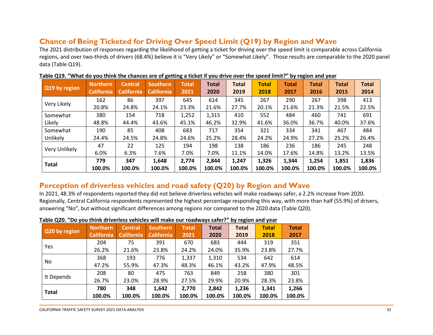# **Chance of Being Ticketed for Driving Over Speed Limit (Q19) by Region and Wave**

The 2021 distribution of responses regarding the likelihood of getting a ticket for driving over the speed limit is comparable across California regions, and over two-thirds of drivers (68.4%) believe it is "Very Likely" or "Somewhat Likely". Those results are comparable to the 2020 panel data (Table Q19).

| Q19 by region | <b>Northern</b><br><b>California</b> | <b>Central</b><br><b>California</b> | <b>Southern</b><br><b>California</b> | <b>Total</b><br>2021 | Total<br>2020 | Total<br>2019 | <b>Total</b><br>2018 | <b>Total</b><br>2017 | <b>Total</b><br>2016 | <b>Total</b><br>2015 | <b>Total</b><br>2014 |
|---------------|--------------------------------------|-------------------------------------|--------------------------------------|----------------------|---------------|---------------|----------------------|----------------------|----------------------|----------------------|----------------------|
|               | 162                                  | 86                                  | 397                                  | 645                  | 614           | 345           | 267                  | 290                  | 267                  | 398                  | 413                  |
| Very Likely   | 20.8%                                | 24.8%                               | 24.1%                                | 23.3%                | 21.6%         | 27.7%         | 20.1%                | 21.6%                | 21.3%                | 21.5%                | 22.5%                |
| Somewhat      | 380                                  | 154                                 | 718                                  | 1,252                | 1,315         | 410           | 552                  | 484                  | 460                  | 741                  | 691                  |
| Likely        | 48.8%                                | 44.4%                               | 43.6%                                | 45.1%                | 46.2%         | 32.9%         | 41.6%                | 36.0%                | 36.7%                | 40.0%                | 37.6%                |
| Somewhat      | 190                                  | 85                                  | 408                                  | 683                  | 717           | 354           | 321                  | 334                  | 341                  | 467                  | 484                  |
| Unlikely      | 24.4%                                | 24.5%                               | 24.8%                                | 24.6%                | 25.2%         | 28.4%         | 24.2%                | 24.9%                | 27.2%                | 25.2%                | 26.4%                |
|               | 47                                   | 22                                  | 125                                  | 194                  | 198           | 138           | 186                  | 236                  | 186                  | 245                  | 248                  |
| Very Unlikely | 6.0%                                 | 6.3%                                | 7.6%                                 | 7.0%                 | 7.0%          | 11.1%         | 14.0%                | 17.6%                | 14.8%                | 13.2%                | 13.5%                |
|               | 779                                  | 347                                 | 1,648                                | 2,774                | 2,844         | 1,247         | 1,326                | 1.344                | 1.254                | 1,851                | 1,836                |
| <b>Total</b>  | 100.0%                               | 100.0%                              | 100.0%                               | 100.0%               | 100.0%        | 100.0%        | 100.0%               | 100.0%               | 100.0%               | 100.0%               | 100.0%               |

| Table Q19. "What do you think the chances are of getting a ticket if you drive over the speed limit?" by region and year |
|--------------------------------------------------------------------------------------------------------------------------|
|--------------------------------------------------------------------------------------------------------------------------|

### <span id="page-31-0"></span>**Perception of driverless vehicles and road safety (Q20) by Region and Wave**

In 2021, 48.3% of respondents reported they did not believe driverless vehicles will make roadways safer, a 2.2% increase from 2020. Regionally, Central California respondents represented the highest percentage responding this way, with more than half (55.9%) of drivers, answering "No", but without significant differences among regions nor compared to the 2020 data (Table Q20).

|--|

<span id="page-31-1"></span>

| Q20 by region | <b>Northern</b><br><b>California</b> | <b>Central</b><br><b>California</b> | <b>Southern</b><br><b>California</b> | <b>Total</b><br>2021 | <b>Total</b><br>2020 | <b>Total</b><br>2019 | <b>Total</b><br>2018 | <b>Total</b><br>2017 |
|---------------|--------------------------------------|-------------------------------------|--------------------------------------|----------------------|----------------------|----------------------|----------------------|----------------------|
| Yes           | 204                                  | 75                                  | 391                                  | 670                  | 683                  | 444                  | 319                  | 351                  |
|               | 26.2%                                | 21.6%                               | 23.8%                                | 24.2%                | 24.0%                | 35.9%                | 23.8%                | 27.7%                |
| No.           | 368                                  | 193                                 | 776                                  | 1,337                | 1,310                | 534                  | 642                  | 614                  |
|               | 47.2%                                | 55.9%                               | 47.3%                                | 48.3%                | 46.1%                | 43.2%                | 47.9%                | 48.5%                |
| It Depends    | 208                                  | 80                                  | 475                                  | 763                  | 849                  | 258                  | 380                  | 301                  |
|               | 26.7%                                | 23.0%                               | 28.9%                                | 27.5%                | 29.9%                | 20.9%                | 28.3%                | 23.8%                |
|               | 780                                  | 348                                 | 1,642                                | 2,770                | 2,842                | 1,236                | 1,341                | 1,266                |
| <b>Total</b>  | 100.0%                               | 100.0%                              | 100.0%                               | 100.0%               | 100.0%               | 100.0%               | 100.0%               | 100.0%               |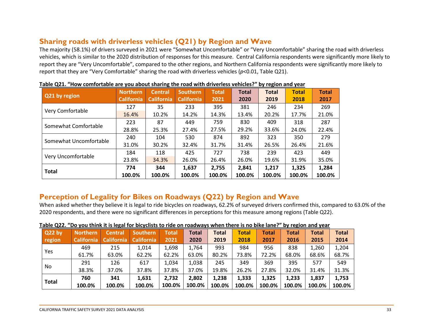### **Sharing roads with driverless vehicles (Q21) by Region and Wave**

The majority (58.1%) of drivers surveyed in 2021 were "Somewhat Uncomfortable" or "Very Uncomfortable" sharing the road with driverless vehicles, which is similar to the 2020 distribution of responses for this measure. Central California respondents were significantly more likely to report they are "Very Uncomfortable", compared to the other regions, and Northern California respondents were significantly more likely to report that they are "Very Comfortable" sharing the road with driverless vehicles (*p*<0.01, Table Q21).

<span id="page-32-0"></span>

| $1000$ with the computation and $1000$ and $1000$ matrix the solar with an increase nemercy. |                   |                   |                   |              |        | <b>NY ILANON MIN YUMI</b> |              |              |
|----------------------------------------------------------------------------------------------|-------------------|-------------------|-------------------|--------------|--------|---------------------------|--------------|--------------|
| Q21 by region                                                                                | <b>Northern</b>   | <b>Central</b>    | <b>Southern</b>   | <b>Total</b> | Total  | <b>Total</b>              | <b>Total</b> | <b>Total</b> |
|                                                                                              | <b>California</b> | <b>California</b> | <b>California</b> | 2021         | 2020   | 2019                      | 2018         | 2017         |
|                                                                                              | 127               | 35                | 233               | 395          | 381    | 246                       | 234          | 269          |
| Very Comfortable                                                                             | 16.4%             | 10.2%             | 14.2%             | 14.3%        | 13.4%  | 20.2%                     | 17.7%        | 21.0%        |
| Somewhat Comfortable                                                                         | 223               | 87                | 449               | 759          | 830    | 409                       | 318          | 287          |
|                                                                                              | 28.8%             | 25.3%             | 27.4%             | 27.5%        | 29.2%  | 33.6%                     | 24.0%        | 22.4%        |
| Somewhat Uncomfortable                                                                       | 240               | 104               | 530               | 874          | 892    | 323                       | 350          | 279          |
|                                                                                              | 31.0%             | 30.2%             | 32.4%             | 31.7%        | 31.4%  | 26.5%                     | 26.4%        | 21.6%        |
|                                                                                              | 184               | 118               | 425               | 727          | 738    | 239                       | 423          | 449          |
| Very Uncomfortable                                                                           | 23.8%             | 34.3%             | 26.0%             | 26.4%        | 26.0%  | 19.6%                     | 31.9%        | 35.0%        |
| <b>Total</b>                                                                                 | 774               | 344               | 1,637             | 2,755        | 2,841  | 1,217                     | 1,325        | 1,284        |
|                                                                                              | 100.0%            | 100.0%            | 100.0%            | 100.0%       | 100.0% | 100.0%                    | 100.0%       | 100.0%       |

| Table Q21. "How comfortable are you about sharing the road with driverless vehicles?" by region and year |
|----------------------------------------------------------------------------------------------------------|
|----------------------------------------------------------------------------------------------------------|

### **Perception of Legality for Bikes on Roadways (Q22) by Region and Wave**

When asked whether they believe it is legal to ride bicycles on roadways, 62.2% of surveyed drivers confirmed this, compared to 63.0% of the 2020 respondents, and there were no significant differences in perceptions for this measure among regions (Table Q22).

<span id="page-32-1"></span>

| .            |                   |                   |                   |        |        |              |              |              |              |              |              |
|--------------|-------------------|-------------------|-------------------|--------|--------|--------------|--------------|--------------|--------------|--------------|--------------|
| Q22 by       | <b>Northern</b>   | <b>Central</b>    | <b>Southern</b>   | Total  | Total  | <b>Total</b> | <b>Total</b> | <b>Total</b> | <b>Total</b> | <b>Total</b> | <b>Total</b> |
| region       | <b>California</b> | <b>California</b> | <b>California</b> | 2021   | 2020   | 2019         | 2018         | 2017         | 2016         | 2015         | 2014         |
| Yes          | 469               | 215               | 1,014             | 1,698  | 1,764  | 993          | 984          | 956          | 838          | 1,260        | 1,204        |
|              | 61.7%             | 63.0%             | 62.2%             | 62.2%  | 63.0%  | 80.2%        | 73.8%        | 72.2%        | 68.0%        | 68.6%        | 68.7%        |
|              | 291               | 126               | 617               | 1,034  | 1,038  | 245          | 349          | 369          | 395          | 577          | 549          |
| No.          | 38.3%             | 37.0%             | 37.8%             | 37.8%  | 37.0%  | 19.8%        | 26.2%        | 27.8%        | 32.0%        | 31.4%        | 31.3%        |
|              | 760               | 341               | 1,631             | 2,732  | 2,802  | 1.238        | 1,333        | 1,325        | 1,233        | 1,837        | 1,753        |
| <b>Total</b> | 100.0%            | 100.0%            | 100.0%            | 100.0% | 100.0% | 100.0%       | 100.0%       | 100.0%       | 100.0%       | 100.0%       | 100.0%       |

#### **Table Q22. "Do you think it is legal for bicyclists to ride on roadways when there is no bike lane?" by region and year**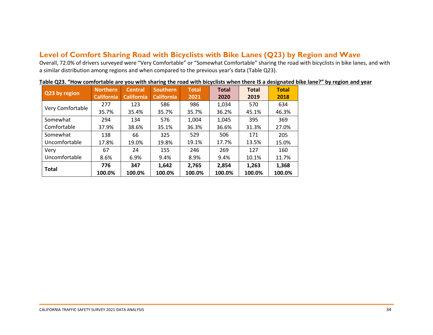### **Level of Comfort Sharing Road with Bicyclists with Bike Lanes (Q23) by Region and Wave**

Overall, 72.0% of drivers surveyed were "Very Comfortable" or "Somewhat Comfortable" sharing the road with bicyclists in bike lanes, and with a similar distribution among regions and when compared to the previous year's data (Table Q23).

<span id="page-33-0"></span>

| Q23 by region    | <b>Northern</b><br><b>California</b> | <b>Central</b><br><b>California</b> | <b>Southern</b><br><b>California</b> | <b>Total</b><br>2021 | <b>Total</b><br>2020 | <b>Total</b><br>2019 | <b>Total</b><br>2018 |
|------------------|--------------------------------------|-------------------------------------|--------------------------------------|----------------------|----------------------|----------------------|----------------------|
|                  |                                      |                                     |                                      |                      |                      |                      |                      |
|                  | 277                                  | 123                                 | 586                                  | 986                  | 1,034                | 570                  | 634                  |
| Very Comfortable | 35.7%                                | 35.4%                               | 35.7%                                | 35.7%                | 36.2%                | 45.1%                | 46.3%                |
| Somewhat         | 294                                  | 134                                 | 576                                  | 1,004                | 1,045                | 395                  | 369                  |
| Comfortable      | 37.9%                                | 38.6%                               | 35.1%                                | 36.3%                | 36.6%                | 31.3%                | 27.0%                |
| Somewhat         | 138                                  | 66                                  | 325                                  | 529                  | 506                  | 171                  | 205                  |
| Uncomfortable    | 17.8%                                | 19.0%                               | 19.8%                                | 19.1%                | 17.7%                | 13.5%                | 15.0%                |
| Very             | 67                                   | 24                                  | 155                                  | 246                  | 269                  | 127                  | 160                  |
| Uncomfortable    | 8.6%                                 | 6.9%                                | 9.4%                                 | 8.9%                 | 9.4%                 | 10.1%                | 11.7%                |
|                  | 776                                  | 347                                 | 1,642                                | 2,765                | 2,854                | 1,263                | 1,368                |
| <b>Total</b>     | 100.0%                               | 100.0%                              | 100.0%                               | 100.0%               | 100.0%               | 100.0%               | 100.0%               |

| Table Q23. "How comfortable are you with sharing the road with bicyclists when there IS a designated bike lane?" by region and year |
|-------------------------------------------------------------------------------------------------------------------------------------|
|-------------------------------------------------------------------------------------------------------------------------------------|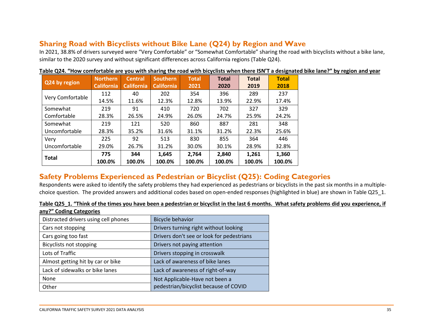# **Sharing Road with Bicyclists without Bike Lane (Q24) by Region and Wave**

In 2021, 38.8% of drivers surveyed were "Very Comfortable" or "Somewhat Comfortable" sharing the road with bicyclists without a bike lane, similar to the 2020 survey and without significant differences across California regions (Table Q24).

| Q24 by region    | <b>Northern</b>   | <b>Central</b>    | <b>Southern</b>   | <b>Total</b> | <b>Total</b> | <b>Total</b> | <b>Total</b> |
|------------------|-------------------|-------------------|-------------------|--------------|--------------|--------------|--------------|
|                  | <b>California</b> | <b>California</b> | <b>California</b> | 2021         | 2020         | 2019         | 2018         |
|                  | 112               | 40                | 202               | 354          | 396          | 289          | 237          |
| Very Comfortable | 14.5%             | 11.6%             | 12.3%             | 12.8%        | 13.9%        | 22.9%        | 17.4%        |
| Somewhat         | 219               | 91                | 410               | 720          | 702          | 327          | 329          |
| Comfortable      | 28.3%             | 26.5%             | 24.9%             | 26.0%        | 24.7%        | 25.9%        | 24.2%        |
| Somewhat         | 219               | 121               | 520               | 860          | 887          | 281          | 348          |
| Uncomfortable    | 28.3%             | 35.2%             | 31.6%             | 31.1%        | 31.2%        | 22.3%        | 25.6%        |
| Very             | 225               | 92                | 513               | 830          | 855          | 364          | 446          |
| Uncomfortable    | 29.0%             | 26.7%             | 31.2%             | 30.0%        | 30.1%        | 28.9%        | 32.8%        |
|                  | 775               | 344               | 1,645             | 2.764        | 2,840        | 1,261        | 1,360        |
| <b>Total</b>     | 100.0%            | 100.0%            | 100.0%            | 100.0%       | 100.0%       | 100.0%       | 100.0%       |

**Table Q24. "How comfortable are you with sharing the road with bicyclists when there ISN'T a designated bike lane?" by region and year**

# <span id="page-34-0"></span>**Safety Problems Experienced as Pedestrian or Bicyclist (Q25): Coding Categories**

Respondents were asked to identify the safety problems they had experienced as pedestrians or bicyclists in the past six months in a multiplechoice question. The provided answers and additional codes based on open-ended responses (highlighted in blue) are shown in Table Q25\_1.

#### **Table Q25\_1. "Think of the times you have been a pedestrian or bicyclist in the last 6 months. What safety problems did you experience, if any?" Coding Categories**

<span id="page-34-1"></span>

| <u>, . coc, coc.</u>                 |                                           |
|--------------------------------------|-------------------------------------------|
| Distracted drivers using cell phones | <b>Bicycle behavior</b>                   |
| Cars not stopping                    | Drivers turning right without looking     |
| Cars going too fast                  | Drivers don't see or look for pedestrians |
| <b>Bicyclists not stopping</b>       | Drivers not paying attention              |
| Lots of Traffic                      | Drivers stopping in crosswalk             |
| Almost getting hit by car or bike    | Lack of awareness of bike lanes           |
| Lack of sidewalks or bike lanes      | Lack of awareness of right-of-way         |
| None                                 | Not Applicable-Have not been a            |
| Other                                | pedestrian/bicyclist because of COVID     |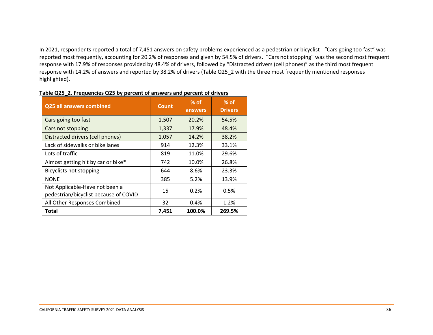In 2021, respondents reported a total of 7,451 answers on safety problems experienced as a pedestrian or bicyclist - "Cars going too fast" was reported most frequently, accounting for 20.2% of responses and given by 54.5% of drivers. "Cars not stopping" was the second most frequent response with 17.9% of responses provided by 48.4% of drivers, followed by "Distracted drivers (cell phones)" as the third most frequent response with 14.2% of answers and reported by 38.2% of drivers (Table Q25\_2 with the three most frequently mentioned responses highlighted).

| <b>Q25 all answers combined</b>                                         | <b>Count</b> | $%$ of<br>answers | $%$ of<br><b>Drivers</b> |
|-------------------------------------------------------------------------|--------------|-------------------|--------------------------|
| Cars going too fast                                                     | 1,507        | 20.2%             | 54.5%                    |
| Cars not stopping                                                       | 1,337        | 17.9%             | 48.4%                    |
| Distracted drivers (cell phones)                                        | 1,057        | 14.2%             | 38.2%                    |
| Lack of sidewalks or bike lanes                                         | 914          | 12.3%             | 33.1%                    |
| Lots of traffic                                                         | 819          | 11.0%             | 29.6%                    |
| Almost getting hit by car or bike*                                      | 742          | 10.0%             | 26.8%                    |
| <b>Bicyclists not stopping</b>                                          | 644          | 8.6%              | 23.3%                    |
| <b>NONE</b>                                                             | 385          | 5.2%              | 13.9%                    |
| Not Applicable-Have not been a<br>pedestrian/bicyclist because of COVID | 15           | 0.2%              | 0.5%                     |
| All Other Responses Combined                                            | 32           | 0.4%              | 1.2%                     |
| <b>Total</b>                                                            | 7,451        | 100.0%            | 269.5%                   |

#### **Table Q25\_2. Frequencies Q25 by percent of answers and percent of drivers**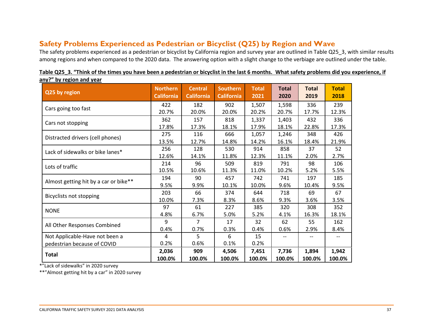# **Safety Problems Experienced as Pedestrian or Bicyclist (Q25) by Region and Wave**

The safety problems experienced as a pedestrian or bicyclist by California region and survey year are outlined in Table Q25\_3, with similar results among regions and when compared to the 2020 data. The answering option with a slight change to the verbiage are outlined under the table.

<span id="page-36-0"></span>

| ану: рутскион ани усаг<br>Q25 by region | <b>Northern</b><br><b>California</b> | <b>Central</b><br><b>California</b> | <b>Southern</b><br><b>California</b> | <b>Total</b><br>2021 | <b>Total</b><br>2020     | <b>Total</b><br>2019 | <b>Total</b><br>2018 |
|-----------------------------------------|--------------------------------------|-------------------------------------|--------------------------------------|----------------------|--------------------------|----------------------|----------------------|
|                                         |                                      |                                     |                                      |                      |                          |                      |                      |
| Cars going too fast                     | 422                                  | 182                                 | 902                                  | 1,507                | 1,598                    | 336                  | 239                  |
|                                         | 20.7%                                | 20.0%                               | 20.0%                                | 20.2%                | 20.7%                    | 17.7%                | 12.3%                |
| Cars not stopping                       | 362                                  | 157                                 | 818                                  | 1,337                | 1,403                    | 432                  | 336                  |
|                                         | 17.8%                                | 17.3%                               | 18.1%                                | 17.9%                | 18.1%                    | 22.8%                | 17.3%                |
| Distracted drivers (cell phones)        | 275                                  | 116                                 | 666                                  | 1,057                | 1,246                    | 348                  | 426                  |
|                                         | 13.5%                                | 12.7%                               | 14.8%                                | 14.2%                | 16.1%                    | 18.4%                | 21.9%                |
| Lack of sidewalks or bike lanes*        | 256                                  | 128                                 | 530                                  | 914                  | 858                      | 37                   | 52                   |
|                                         | 12.6%                                | 14.1%                               | 11.8%                                | 12.3%                | 11.1%                    | 2.0%                 | 2.7%                 |
|                                         | 214                                  | 96                                  | 509                                  | 819                  | 791                      | 98                   | 106                  |
| Lots of traffic                         | 10.5%                                | 10.6%                               | 11.3%                                | 11.0%                | 10.2%                    | 5.2%                 | 5.5%                 |
|                                         | 194                                  | 90                                  | 457                                  | 742                  | 741                      | 197                  | 185                  |
| Almost getting hit by a car or bike**   | 9.5%                                 | 9.9%                                | 10.1%                                | 10.0%                | 9.6%                     | 10.4%                | 9.5%                 |
|                                         | 203                                  | 66                                  | 374                                  | 644                  | 718                      | 69                   | 67                   |
| <b>Bicyclists not stopping</b>          | 10.0%                                | 7.3%                                | 8.3%                                 | 8.6%                 | 9.3%                     | 3.6%                 | 3.5%                 |
|                                         | 97                                   | 61                                  | 227                                  | 385                  | 320                      | 308                  | 352                  |
| <b>NONE</b>                             | 4.8%                                 | 6.7%                                | 5.0%                                 | 5.2%                 | 4.1%                     | 16.3%                | 18.1%                |
|                                         | 9                                    | 7                                   | 17                                   | 32                   | 62                       | 55                   | 162                  |
| All Other Responses Combined            | 0.4%                                 | 0.7%                                | 0.3%                                 | 0.4%                 | 0.6%                     | 2.9%                 | 8.4%                 |
| Not Applicable-Have not been a          | 4                                    | 5                                   | 6                                    | 15                   | $\overline{\phantom{a}}$ |                      | --                   |
| pedestrian because of COVID             | 0.2%                                 | 0.6%                                | 0.1%                                 | 0.2%                 |                          |                      |                      |
|                                         | 2,036                                | 909                                 | 4,506                                | 7,451                | 7,736                    | 1,894                | 1,942                |
| <b>Total</b>                            | 100.0%                               | 100.0%                              | 100.0%                               | 100.0%               | 100.0%                   | 100.0%               | 100.0%               |

**Table Q25\_3. "Think of the times you have been a pedestrian or bicyclist in the last 6 months. What safety problems did you experience, if any?" by region and year**

\*"Lack of sidewalks" in 2020 survey

\*\*"Almost getting hit by a car" in 2020 survey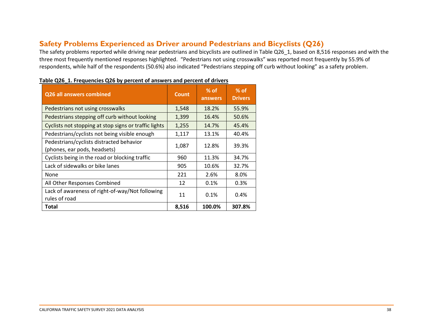### **Safety Problems Experienced as Driver around Pedestrians and Bicyclists (Q26)**

The safety problems reported while driving near pedestrians and bicyclists are outlined in Table Q26 1, based on 8,516 responses and with the three most frequently mentioned responses highlighted. "Pedestrians not using crosswalks" was reported most frequently by 55.9% of respondents, while half of the respondents (50.6%) also indicated "Pedestrians stepping off curb without looking" as a safety problem.

<span id="page-37-0"></span>

| Q26 all answers combined                                                 | <b>Count</b> | $\%$ of $\,$<br>answers | $%$ of<br><b>Drivers</b> |
|--------------------------------------------------------------------------|--------------|-------------------------|--------------------------|
| Pedestrians not using crosswalks                                         | 1,548        | 18.2%                   | 55.9%                    |
| Pedestrians stepping off curb without looking                            | 1,399        | 16.4%                   | 50.6%                    |
| Cyclists not stopping at stop signs or traffic lights                    | 1,255        | 14.7%                   | 45.4%                    |
| Pedestrians/cyclists not being visible enough                            | 1,117        | 13.1%                   | 40.4%                    |
| Pedestrians/cyclists distracted behavior<br>(phones, ear pods, headsets) | 1,087        | 12.8%                   | 39.3%                    |
| Cyclists being in the road or blocking traffic                           | 960          | 11.3%                   | 34.7%                    |
| Lack of sidewalks or bike lanes                                          | 905          | 10.6%                   | 32.7%                    |
| None                                                                     | 221          | 2.6%                    | 8.0%                     |
| All Other Responses Combined                                             | 12           | 0.1%                    | 0.3%                     |
| Lack of awareness of right-of-way/Not following<br>rules of road         | 11           | 0.1%                    | 0.4%                     |
| Total                                                                    | 8,516        | 100.0%                  | 307.8%                   |

#### **Table Q26\_1. Frequencies Q26 by percent of answers and percent of drivers**